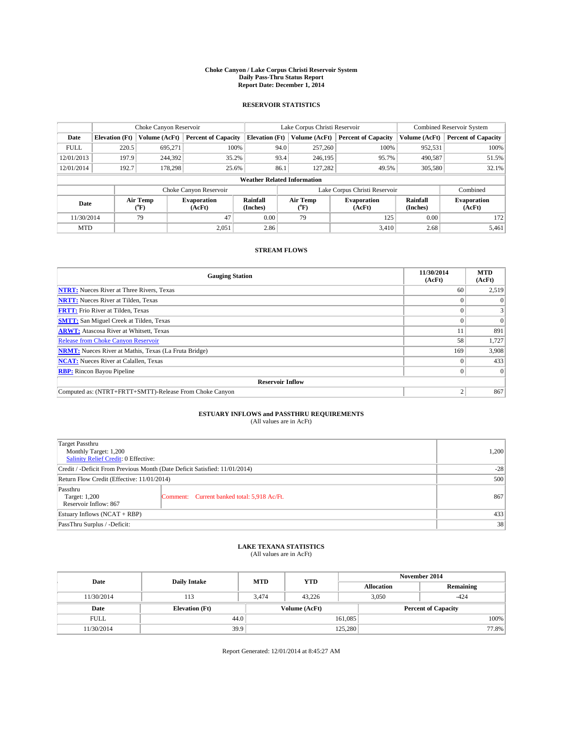#### **Choke Canyon / Lake Corpus Christi Reservoir System Daily Pass-Thru Status Report Report Date: December 1, 2014**

## **RESERVOIR STATISTICS**

|             |                                    | Choke Canyon Reservoir |                              |                       | Lake Corpus Christi Reservoir | Combined Reservoir System     |                      |                              |  |
|-------------|------------------------------------|------------------------|------------------------------|-----------------------|-------------------------------|-------------------------------|----------------------|------------------------------|--|
| Date        | <b>Elevation</b> (Ft)              | Volume (AcFt)          | <b>Percent of Capacity</b>   | <b>Elevation (Ft)</b> | Volume (AcFt)                 | <b>Percent of Capacity</b>    | Volume (AcFt)        | <b>Percent of Capacity</b>   |  |
| <b>FULL</b> | 220.5                              | 695.271                | 100%                         | 94.0                  | 257,260                       | 100%                          | 952,531              | 100%                         |  |
| 12/01/2013  | 197.9                              | 244,392                | 35.2%                        | 93.4                  | 246,195                       | 95.7%                         | 490,587              | 51.5%                        |  |
| 12/01/2014  | 192.7                              | 178.298                | 25.6%                        | 86.1                  | 127.282                       | 49.5%                         | 305,580              | 32.1%                        |  |
|             | <b>Weather Related Information</b> |                        |                              |                       |                               |                               |                      |                              |  |
|             |                                    |                        | Choke Canyon Reservoir       |                       |                               | Lake Corpus Christi Reservoir |                      | Combined                     |  |
| Date        |                                    | Air Temp<br>(°F)       | <b>Evaporation</b><br>(AcFt) | Rainfall<br>(Inches)  | Air Temp<br>$(^{0}F)$         | Evaporation<br>(AcFt)         | Rainfall<br>(Inches) | <b>Evaporation</b><br>(AcFt) |  |
| 11/30/2014  |                                    | 47<br>79               |                              | 0.00                  | 79                            | 125                           | 0.00                 | 172                          |  |
| <b>MTD</b>  |                                    |                        | 2,051                        | 2.86                  |                               | 3,410                         | 2.68                 | 5,461                        |  |

## **STREAM FLOWS**

| <b>Gauging Station</b>                                       | 11/30/2014<br>(AcFt) | <b>MTD</b><br>(AcFt) |  |  |  |
|--------------------------------------------------------------|----------------------|----------------------|--|--|--|
| <b>NTRT:</b> Nueces River at Three Rivers, Texas             | 60                   | 2,519                |  |  |  |
| <b>NRTT:</b> Nueces River at Tilden, Texas                   |                      | $\Omega$             |  |  |  |
| <b>FRTT:</b> Frio River at Tilden, Texas                     | 0                    | 3                    |  |  |  |
| <b>SMTT:</b> San Miguel Creek at Tilden, Texas               |                      | $\Omega$             |  |  |  |
| <b>ARWT:</b> Atascosa River at Whitsett, Texas               | 11                   | 891                  |  |  |  |
| <b>Release from Choke Canyon Reservoir</b>                   | 58                   | 1,727                |  |  |  |
| <b>NRMT:</b> Nueces River at Mathis, Texas (La Fruta Bridge) | 169                  | 3,908                |  |  |  |
| <b>NCAT:</b> Nueces River at Calallen, Texas                 |                      | 433                  |  |  |  |
| <b>RBP:</b> Rincon Bayou Pipeline                            | $\Omega$             | $\Omega$             |  |  |  |
| <b>Reservoir Inflow</b>                                      |                      |                      |  |  |  |
| Computed as: (NTRT+FRTT+SMTT)-Release From Choke Canyon      |                      | 867                  |  |  |  |

# **ESTUARY INFLOWS and PASSTHRU REQUIREMENTS**<br>(All values are in AcFt)

| Target Passthru                                                            |       |       |
|----------------------------------------------------------------------------|-------|-------|
| Monthly Target: 1,200                                                      |       | 1,200 |
| Salinity Relief Credit: 0 Effective:                                       |       |       |
| Credit / -Deficit From Previous Month (Date Deficit Satisfied: 11/01/2014) | $-28$ |       |
| Return Flow Credit (Effective: 11/01/2014)                                 | 500   |       |
| Passthru                                                                   |       |       |
| Target: 1,200<br>Comment: Current banked total: 5,918 Ac/Ft.               |       | 867   |
| Reservoir Inflow: 867                                                      |       |       |
| Estuary Inflows (NCAT + RBP)                                               | 433   |       |
| PassThru Surplus / -Deficit:                                               | 38    |       |

# **LAKE TEXANA STATISTICS** (All values are in AcFt)

| Date        | <b>Daily Intake</b>   | <b>MTD</b> | <b>YTD</b>    | November 2014              |                 |           |  |
|-------------|-----------------------|------------|---------------|----------------------------|-----------------|-----------|--|
|             |                       |            |               | <b>Allocation</b>          |                 | Remaining |  |
| 11/30/2014  | 113                   | 3.474      | 43.226        |                            | 3,050<br>$-424$ |           |  |
| Date        | <b>Elevation</b> (Ft) |            | Volume (AcFt) | <b>Percent of Capacity</b> |                 |           |  |
| <b>FULL</b> | 44.0                  |            |               | 161,085                    |                 | 100%      |  |
| 11/30/2014  | 39.9                  |            |               | 125,280                    |                 | 77.8%     |  |

Report Generated: 12/01/2014 at 8:45:27 AM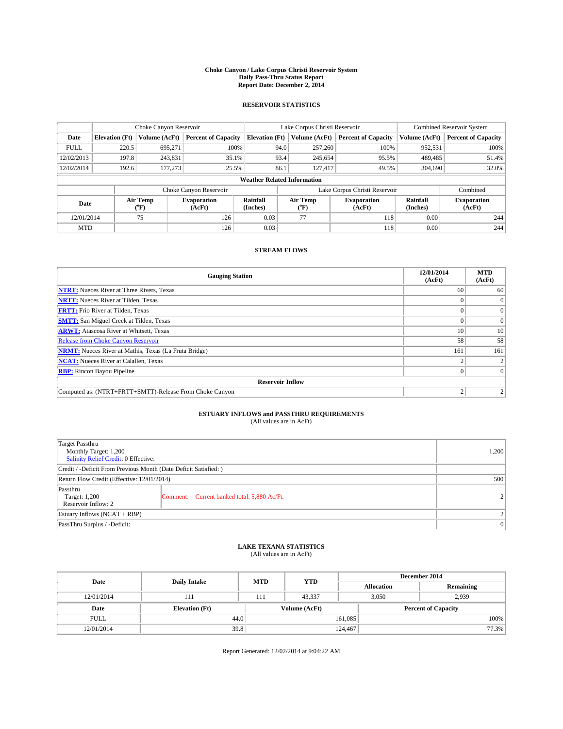#### **Choke Canyon / Lake Corpus Christi Reservoir System Daily Pass-Thru Status Report Report Date: December 2, 2014**

## **RESERVOIR STATISTICS**

|             |                                    | Choke Canyon Reservoir |                              |                       | Lake Corpus Christi Reservoir | Combined Reservoir System     |                      |                              |  |
|-------------|------------------------------------|------------------------|------------------------------|-----------------------|-------------------------------|-------------------------------|----------------------|------------------------------|--|
| Date        | <b>Elevation</b> (Ft)              | Volume (AcFt)          | <b>Percent of Capacity</b>   | <b>Elevation (Ft)</b> | Volume (AcFt)                 | <b>Percent of Capacity</b>    | Volume (AcFt)        | <b>Percent of Capacity</b>   |  |
| <b>FULL</b> | 220.5                              | 695,271                | 100%                         |                       | 257,260<br>94.0               | 100%                          | 952,531              | 100%                         |  |
| 12/02/2013  | 197.8                              | 243,831                | 35.1%                        |                       | 93.4<br>245,654               | 95.5%                         | 489,485              | 51.4%                        |  |
| 12/02/2014  | 192.6                              | 177,273                | 25.5%                        | 86.1                  | 127.417                       | 49.5%                         | 304,690              | 32.0%                        |  |
|             | <b>Weather Related Information</b> |                        |                              |                       |                               |                               |                      |                              |  |
|             |                                    |                        | Choke Canyon Reservoir       |                       |                               | Lake Corpus Christi Reservoir |                      | Combined                     |  |
| Date        |                                    | Air Temp<br>(°F)       | <b>Evaporation</b><br>(AcFt) | Rainfall<br>(Inches)  | Air Temp<br>$(^{0}F)$         | <b>Evaporation</b><br>(AcFt)  | Rainfall<br>(Inches) | <b>Evaporation</b><br>(AcFt) |  |
| 12/01/2014  |                                    | 75                     | 126                          | 0.03                  | 77                            | 118                           | 0.00                 | 244                          |  |
| <b>MTD</b>  |                                    |                        | 126                          | 0.03                  |                               | 118                           | 0.00                 | 244                          |  |

## **STREAM FLOWS**

| <b>Gauging Station</b>                                       | 12/01/2014<br>(AcFt) | <b>MTD</b><br>(AcFt) |  |  |  |
|--------------------------------------------------------------|----------------------|----------------------|--|--|--|
| <b>NTRT:</b> Nueces River at Three Rivers, Texas             | 60                   | 60                   |  |  |  |
| <b>NRTT:</b> Nueces River at Tilden, Texas                   |                      | $\Omega$             |  |  |  |
| <b>FRTT:</b> Frio River at Tilden, Texas                     |                      | $\overline{0}$       |  |  |  |
| <b>SMTT:</b> San Miguel Creek at Tilden, Texas               |                      | $\Omega$             |  |  |  |
| <b>ARWT:</b> Atascosa River at Whitsett, Texas               | 10                   | 10                   |  |  |  |
| <b>Release from Choke Canyon Reservoir</b>                   | 58                   | 58                   |  |  |  |
| <b>NRMT:</b> Nueces River at Mathis, Texas (La Fruta Bridge) | 161                  | 161                  |  |  |  |
| <b>NCAT:</b> Nueces River at Calallen, Texas                 |                      | $\mathcal{L}$        |  |  |  |
| <b>RBP:</b> Rincon Bayou Pipeline                            |                      | $\Omega$             |  |  |  |
| <b>Reservoir Inflow</b>                                      |                      |                      |  |  |  |
| Computed as: (NTRT+FRTT+SMTT)-Release From Choke Canyon      | h                    |                      |  |  |  |

# **ESTUARY INFLOWS and PASSTHRU REQUIREMENTS**<br>(All values are in AcFt)

| Target Passthru<br>Monthly Target: 1,200<br>Salinity Relief Credit: 0 Effective: |                                             |                |  |  |
|----------------------------------------------------------------------------------|---------------------------------------------|----------------|--|--|
| Credit / -Deficit From Previous Month (Date Deficit Satisfied: )                 |                                             |                |  |  |
| Return Flow Credit (Effective: 12/01/2014)                                       | 500                                         |                |  |  |
| Passthru<br>Target: 1,200<br>Reservoir Inflow: 2                                 | Comment: Current banked total: 5,880 Ac/Ft. | $\overline{2}$ |  |  |
| Estuary Inflows (NCAT + RBP)                                                     | $\overline{\mathcal{L}}$                    |                |  |  |
| PassThru Surplus / -Deficit:                                                     | 0                                           |                |  |  |

# **LAKE TEXANA STATISTICS** (All values are in AcFt)

| Date        | <b>Daily Intake</b>   | <b>MTD</b> | <b>YTD</b>    | December 2014     |                            |           |       |
|-------------|-----------------------|------------|---------------|-------------------|----------------------------|-----------|-------|
|             |                       |            |               | <b>Allocation</b> |                            | Remaining |       |
| 12/01/2014  | 111                   | 111        | 43.337        |                   | 2,939<br>3,050             |           |       |
| Date        | <b>Elevation</b> (Ft) |            | Volume (AcFt) |                   | <b>Percent of Capacity</b> |           |       |
| <b>FULL</b> | 44.0                  |            |               | 161,085           |                            |           | 100%  |
| 12/01/2014  | 39.8                  |            |               | 124,467           |                            |           | 77.3% |

Report Generated: 12/02/2014 at 9:04:22 AM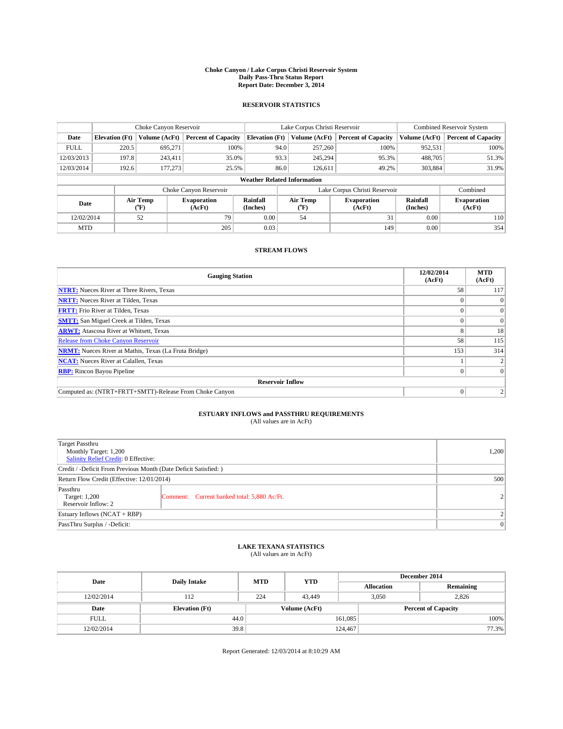#### **Choke Canyon / Lake Corpus Christi Reservoir System Daily Pass-Thru Status Report Report Date: December 3, 2014**

## **RESERVOIR STATISTICS**

|             |                                    | Choke Canyon Reservoir |                              |                       | Lake Corpus Christi Reservoir | Combined Reservoir System     |                      |                              |  |
|-------------|------------------------------------|------------------------|------------------------------|-----------------------|-------------------------------|-------------------------------|----------------------|------------------------------|--|
| Date        | <b>Elevation</b> (Ft)              | Volume (AcFt)          | <b>Percent of Capacity</b>   | <b>Elevation (Ft)</b> | Volume (AcFt)                 | <b>Percent of Capacity</b>    | Volume (AcFt)        | <b>Percent of Capacity</b>   |  |
| <b>FULL</b> | 220.5                              | 695.271                | 100%                         | 94.0                  | 257,260                       | 100%                          | 952,531              | 100%                         |  |
| 12/03/2013  | 197.8                              | 243,411                | 35.0%                        | 93.3                  | 245,294                       | 95.3%                         | 488,705              | 51.3%                        |  |
| 12/03/2014  | 192.6                              | 177,273                | 25.5%                        | 86.0                  | 126.611                       | 49.2%                         | 303,884              | 31.9%                        |  |
|             | <b>Weather Related Information</b> |                        |                              |                       |                               |                               |                      |                              |  |
|             |                                    |                        | Choke Canyon Reservoir       |                       |                               | Lake Corpus Christi Reservoir |                      | Combined                     |  |
| Date        |                                    | Air Temp<br>(°F)       | <b>Evaporation</b><br>(AcFt) | Rainfall<br>(Inches)  | Air Temp<br>$(^oF)$           | Evaporation<br>(AcFt)         | Rainfall<br>(Inches) | <b>Evaporation</b><br>(AcFt) |  |
| 12/02/2014  |                                    | 52                     | 79                           | 0.00                  | 54                            | 31                            | 0.00                 | 110                          |  |
| <b>MTD</b>  |                                    |                        | 205                          | 0.03                  |                               | 149                           | 0.00                 | 354                          |  |

## **STREAM FLOWS**

| <b>Gauging Station</b>                                       | 12/02/2014<br>(AcFt) | <b>MTD</b><br>(AcFt) |  |  |  |
|--------------------------------------------------------------|----------------------|----------------------|--|--|--|
| <b>NTRT:</b> Nueces River at Three Rivers, Texas             | 58                   | 117                  |  |  |  |
| <b>NRTT:</b> Nueces River at Tilden, Texas                   |                      |                      |  |  |  |
| <b>FRTT:</b> Frio River at Tilden, Texas                     |                      | $\overline{0}$       |  |  |  |
| <b>SMTT:</b> San Miguel Creek at Tilden, Texas               |                      | $\Omega$             |  |  |  |
| <b>ARWT:</b> Atascosa River at Whitsett, Texas               |                      | 18                   |  |  |  |
| <b>Release from Choke Canyon Reservoir</b>                   | 58                   | 115                  |  |  |  |
| <b>NRMT:</b> Nueces River at Mathis, Texas (La Fruta Bridge) | 153                  | 314                  |  |  |  |
| <b>NCAT:</b> Nueces River at Calallen, Texas                 |                      |                      |  |  |  |
| <b>RBP:</b> Rincon Bayou Pipeline                            |                      | $\Omega$             |  |  |  |
| <b>Reservoir Inflow</b>                                      |                      |                      |  |  |  |
| Computed as: (NTRT+FRTT+SMTT)-Release From Choke Canyon      |                      |                      |  |  |  |

# **ESTUARY INFLOWS and PASSTHRU REQUIREMENTS**<br>(All values are in AcFt)

| <b>Target Passthru</b><br>Monthly Target: 1,200<br>Salinity Relief Credit: 0 Effective: | 1,200                                       |                |
|-----------------------------------------------------------------------------------------|---------------------------------------------|----------------|
| Credit / -Deficit From Previous Month (Date Deficit Satisfied: )                        |                                             |                |
| Return Flow Credit (Effective: 12/01/2014)                                              | 500                                         |                |
| Passthru<br>Target: 1,200<br>Reservoir Inflow: 2                                        | Comment: Current banked total: 5,880 Ac/Ft. | $\overline{2}$ |
| Estuary Inflows (NCAT + RBP)                                                            | $\overline{2}$                              |                |
| PassThru Surplus / -Deficit:                                                            | $\Omega$                                    |                |

# **LAKE TEXANA STATISTICS** (All values are in AcFt)

| Date        | <b>Daily Intake</b>   | <b>MTD</b> | <b>YTD</b>    | December 2014     |                            |           |  |
|-------------|-----------------------|------------|---------------|-------------------|----------------------------|-----------|--|
|             |                       |            |               | <b>Allocation</b> |                            | Remaining |  |
| 12/02/2014  | 112                   | 224        | 43.449        |                   | 2,826<br>3,050             |           |  |
| Date        | <b>Elevation</b> (Ft) |            | Volume (AcFt) |                   | <b>Percent of Capacity</b> |           |  |
| <b>FULL</b> | 44.0                  |            |               | 161,085           |                            | 100%      |  |
| 12/02/2014  | 39.8                  |            |               | 124,467           |                            | 77.3%     |  |

Report Generated: 12/03/2014 at 8:10:29 AM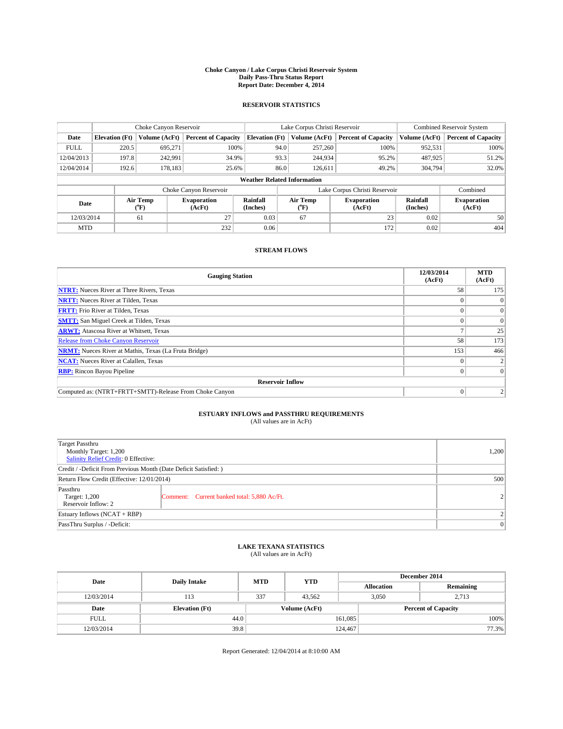#### **Choke Canyon / Lake Corpus Christi Reservoir System Daily Pass-Thru Status Report Report Date: December 4, 2014**

## **RESERVOIR STATISTICS**

|             |                       | Choke Canyon Reservoir |                              |                                    | Lake Corpus Christi Reservoir | Combined Reservoir System    |                      |                              |
|-------------|-----------------------|------------------------|------------------------------|------------------------------------|-------------------------------|------------------------------|----------------------|------------------------------|
| Date        | <b>Elevation</b> (Ft) | Volume (AcFt)          | <b>Percent of Capacity</b>   | <b>Elevation (Ft)</b>              | Volume (AcFt)                 | <b>Percent of Capacity</b>   | Volume (AcFt)        | <b>Percent of Capacity</b>   |
| <b>FULL</b> | 220.5                 | 695.271                | 100%                         | 94.0                               | 257,260                       | 100%                         | 952,531              | 100%                         |
| 12/04/2013  | 197.8                 | 242,991                | 34.9%                        | 93.3                               | 244,934                       | 95.2%                        | 487,925              | 51.2%                        |
| 12/04/2014  | 192.6                 | 178,183                | 25.6%                        | 86.0                               | 126.611                       | 49.2%                        | 304,794              | 32.0%                        |
|             |                       |                        |                              | <b>Weather Related Information</b> |                               |                              |                      |                              |
|             |                       |                        | Choke Canyon Reservoir       |                                    | Lake Corpus Christi Reservoir |                              | Combined             |                              |
| Date        |                       | Air Temp<br>(°F)       | <b>Evaporation</b><br>(AcFt) | Rainfall<br>(Inches)               | Air Temp<br>(°F)              | <b>Evaporation</b><br>(AcFt) | Rainfall<br>(Inches) | <b>Evaporation</b><br>(AcFt) |
| 12/03/2014  |                       | 61                     | 27                           | 0.03                               | 67                            | 23                           | 0.02                 | 50                           |
| <b>MTD</b>  |                       |                        | 232                          | 0.06                               |                               | 172                          | 0.02                 | 404                          |

## **STREAM FLOWS**

| <b>Gauging Station</b>                                       | 12/03/2014<br>(AcFt) | <b>MTD</b><br>(AcFt) |
|--------------------------------------------------------------|----------------------|----------------------|
| <b>NTRT:</b> Nueces River at Three Rivers, Texas             | 58                   | 175                  |
| <b>NRTT:</b> Nueces River at Tilden, Texas                   |                      |                      |
| <b>FRTT:</b> Frio River at Tilden, Texas                     |                      | $\overline{0}$       |
| <b>SMTT:</b> San Miguel Creek at Tilden, Texas               |                      | $\Omega$             |
| <b>ARWT:</b> Atascosa River at Whitsett, Texas               |                      | 25                   |
| <b>Release from Choke Canyon Reservoir</b>                   | 58                   | 173                  |
| <b>NRMT:</b> Nueces River at Mathis, Texas (La Fruta Bridge) | 153                  | 466                  |
| <b>NCAT:</b> Nueces River at Calallen, Texas                 |                      |                      |
| <b>RBP:</b> Rincon Bayou Pipeline                            |                      | $\Omega$             |
| <b>Reservoir Inflow</b>                                      |                      |                      |
| Computed as: (NTRT+FRTT+SMTT)-Release From Choke Canyon      | $\Omega$             |                      |

# **ESTUARY INFLOWS and PASSTHRU REQUIREMENTS**<br>(All values are in AcFt)

| Target Passthru<br>Monthly Target: 1,200<br>Salinity Relief Credit: 0 Effective: |                                             |                |  |  |
|----------------------------------------------------------------------------------|---------------------------------------------|----------------|--|--|
| Credit / -Deficit From Previous Month (Date Deficit Satisfied: )                 |                                             |                |  |  |
| Return Flow Credit (Effective: 12/01/2014)                                       |                                             |                |  |  |
| Passthru<br>Target: 1,200<br>Reservoir Inflow: 2                                 | Comment: Current banked total: 5,880 Ac/Ft. | 2 <sup>1</sup> |  |  |
| Estuary Inflows (NCAT + RBP)                                                     |                                             |                |  |  |
| PassThru Surplus / -Deficit:                                                     | 0                                           |                |  |  |

# **LAKE TEXANA STATISTICS** (All values are in AcFt)

| Date        | <b>Daily Intake</b>   | <b>MTD</b>    | <b>YTD</b> | December 2014     |                            |           |       |
|-------------|-----------------------|---------------|------------|-------------------|----------------------------|-----------|-------|
|             |                       |               |            | <b>Allocation</b> |                            | Remaining |       |
| 12/03/2014  | 113                   | 337           | 43.562     |                   | 3,050<br>2,713             |           |       |
| Date        | <b>Elevation</b> (Ft) | Volume (AcFt) |            |                   | <b>Percent of Capacity</b> |           |       |
| <b>FULL</b> | 44.0                  |               |            | 161,085           |                            |           | 100%  |
| 12/03/2014  | 39.8                  |               |            | 124,467           |                            |           | 77.3% |

Report Generated: 12/04/2014 at 8:10:00 AM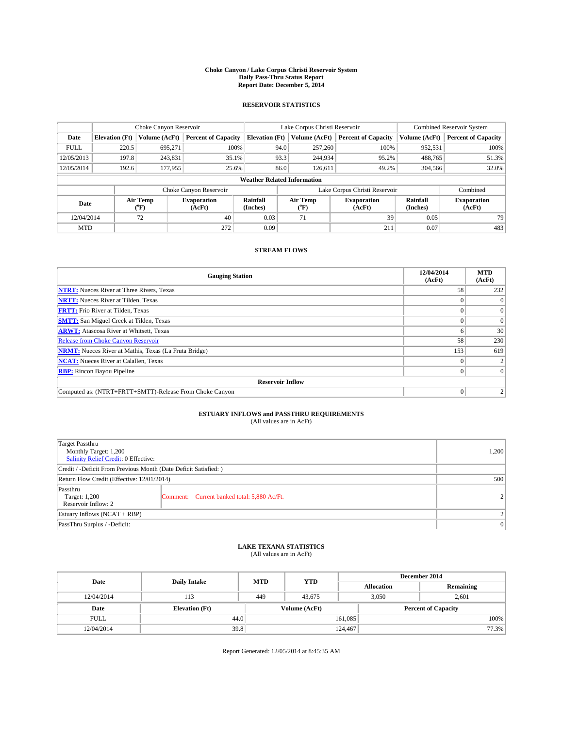#### **Choke Canyon / Lake Corpus Christi Reservoir System Daily Pass-Thru Status Report Report Date: December 5, 2014**

## **RESERVOIR STATISTICS**

|             |                       | Choke Canyon Reservoir |                              |                                    | Lake Corpus Christi Reservoir | Combined Reservoir System    |                      |                              |
|-------------|-----------------------|------------------------|------------------------------|------------------------------------|-------------------------------|------------------------------|----------------------|------------------------------|
| Date        | <b>Elevation</b> (Ft) | Volume (AcFt)          | <b>Percent of Capacity</b>   | <b>Elevation (Ft)</b>              | Volume (AcFt)                 | <b>Percent of Capacity</b>   | Volume (AcFt)        | <b>Percent of Capacity</b>   |
| <b>FULL</b> | 220.5                 | 695.271                | 100%                         | 94.0                               | 257,260                       | 100%                         | 952,531              | 100%                         |
| 12/05/2013  | 197.8                 | 243,831                | 35.1%                        | 93.3                               | 244,934                       | 95.2%                        | 488,765              | 51.3%                        |
| 12/05/2014  | 192.6                 | 177,955                | 25.6%                        | 86.0                               | 126.611                       | 49.2%                        | 304,566              | 32.0%                        |
|             |                       |                        |                              | <b>Weather Related Information</b> |                               |                              |                      |                              |
|             |                       |                        | Choke Canyon Reservoir       |                                    | Lake Corpus Christi Reservoir |                              |                      |                              |
| Date        |                       | Air Temp<br>(°F)       | <b>Evaporation</b><br>(AcFt) | Rainfall<br>(Inches)               | Air Temp<br>("F)              | <b>Evaporation</b><br>(AcFt) | Rainfall<br>(Inches) | <b>Evaporation</b><br>(AcFt) |
| 12/04/2014  |                       | 72                     | 40                           | 0.03                               | 71                            | 39                           | 0.05                 | 79                           |
| <b>MTD</b>  |                       |                        | 272                          | 0.09                               |                               | 211                          | 0.07                 | 483                          |

## **STREAM FLOWS**

| <b>Gauging Station</b>                                       | 12/04/2014<br>(AcFt) | <b>MTD</b><br>(AcFt) |
|--------------------------------------------------------------|----------------------|----------------------|
| <b>NTRT:</b> Nueces River at Three Rivers, Texas             | 58                   | 232                  |
| <b>NRTT:</b> Nueces River at Tilden, Texas                   |                      |                      |
| <b>FRTT:</b> Frio River at Tilden, Texas                     |                      | $\overline{0}$       |
| <b>SMTT:</b> San Miguel Creek at Tilden, Texas               |                      | $\overline{0}$       |
| <b>ARWT:</b> Atascosa River at Whitsett, Texas               |                      | 30                   |
| <b>Release from Choke Canyon Reservoir</b>                   | 58                   | 230                  |
| <b>NRMT:</b> Nueces River at Mathis, Texas (La Fruta Bridge) | 153                  | 619                  |
| <b>NCAT:</b> Nueces River at Calallen, Texas                 |                      |                      |
| <b>RBP:</b> Rincon Bayou Pipeline                            |                      | $\Omega$             |
| <b>Reservoir Inflow</b>                                      |                      |                      |
| Computed as: (NTRT+FRTT+SMTT)-Release From Choke Canyon      | $\Omega$             |                      |

# **ESTUARY INFLOWS and PASSTHRU REQUIREMENTS**<br>(All values are in AcFt)

| Target Passthru<br>Monthly Target: 1,200<br>Salinity Relief Credit: 0 Effective: |                                             |                |  |  |
|----------------------------------------------------------------------------------|---------------------------------------------|----------------|--|--|
| Credit / -Deficit From Previous Month (Date Deficit Satisfied: )                 |                                             |                |  |  |
| Return Flow Credit (Effective: 12/01/2014)                                       |                                             |                |  |  |
| Passthru<br>Target: 1,200<br>Reservoir Inflow: 2                                 | Comment: Current banked total: 5,880 Ac/Ft. | $\overline{2}$ |  |  |
| Estuary Inflows (NCAT + RBP)                                                     | $\overline{\mathcal{L}}$                    |                |  |  |
| PassThru Surplus / -Deficit:                                                     | 0                                           |                |  |  |

# **LAKE TEXANA STATISTICS** (All values are in AcFt)

| Date        | <b>Daily Intake</b>   | <b>MTD</b> | <b>YTD</b>    | December 2014     |                            |           |  |
|-------------|-----------------------|------------|---------------|-------------------|----------------------------|-----------|--|
|             |                       |            |               | <b>Allocation</b> |                            | Remaining |  |
| 12/04/2014  | 113                   | 449        | 43.675        |                   | 2,601<br>3,050             |           |  |
| Date        | <b>Elevation</b> (Ft) |            | Volume (AcFt) |                   | <b>Percent of Capacity</b> |           |  |
| <b>FULL</b> | 44.0                  |            |               | 161,085           |                            | 100%      |  |
| 12/04/2014  | 39.8                  |            |               | 124,467           |                            | 77.3%     |  |

Report Generated: 12/05/2014 at 8:45:35 AM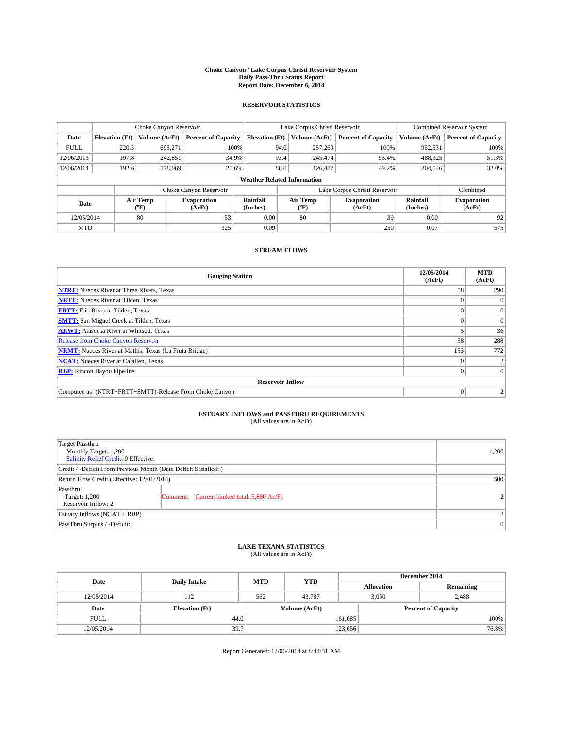#### **Choke Canyon / Lake Corpus Christi Reservoir System Daily Pass-Thru Status Report Report Date: December 6, 2014**

## **RESERVOIR STATISTICS**

|             |                       | Choke Canyon Reservoir |                              |                                    | Lake Corpus Christi Reservoir | Combined Reservoir System    |                      |                              |
|-------------|-----------------------|------------------------|------------------------------|------------------------------------|-------------------------------|------------------------------|----------------------|------------------------------|
| Date        | <b>Elevation</b> (Ft) | Volume (AcFt)          | <b>Percent of Capacity</b>   | <b>Elevation (Ft)</b>              | Volume (AcFt)                 | <b>Percent of Capacity</b>   | Volume (AcFt)        | <b>Percent of Capacity</b>   |
| <b>FULL</b> | 220.5                 | 695.271                | 100%                         | 94.0                               | 257,260                       | 100%                         | 952,531              | 100%                         |
| 12/06/2013  | 197.8                 | 242,851                | 34.9%                        | 93.4                               | 245,474                       | 95.4%                        | 488,325              | 51.3%                        |
| 12/06/2014  | 192.6                 | 178,069                | 25.6%                        | 86.0                               | 126,477                       | 49.2%                        | 304,546              | 32.0%                        |
|             |                       |                        |                              | <b>Weather Related Information</b> |                               |                              |                      |                              |
|             |                       |                        | Choke Canyon Reservoir       |                                    | Lake Corpus Christi Reservoir | Combined                     |                      |                              |
| Date        |                       | Air Temp<br>(°F)       | <b>Evaporation</b><br>(AcFt) | Rainfall<br>(Inches)               | Air Temp<br>(°F)              | <b>Evaporation</b><br>(AcFt) | Rainfall<br>(Inches) | <b>Evaporation</b><br>(AcFt) |
| 12/05/2014  |                       | 80                     | 53                           | 0.00                               | 80                            | 39                           | 0.00                 | 92                           |
| <b>MTD</b>  |                       |                        | 325                          | 0.09                               |                               | 250                          | 0.07                 | 575                          |

## **STREAM FLOWS**

| <b>Gauging Station</b>                                       | 12/05/2014<br>(AcFt) | <b>MTD</b><br>(AcFt) |
|--------------------------------------------------------------|----------------------|----------------------|
| <b>NTRT:</b> Nueces River at Three Rivers, Texas             | 58                   | 290                  |
| <b>NRTT:</b> Nueces River at Tilden, Texas                   |                      |                      |
| <b>FRTT:</b> Frio River at Tilden, Texas                     |                      | $\overline{0}$       |
| <b>SMTT:</b> San Miguel Creek at Tilden, Texas               |                      | $\overline{0}$       |
| <b>ARWT:</b> Atascosa River at Whitsett, Texas               |                      | 36                   |
| <b>Release from Choke Canyon Reservoir</b>                   | 58                   | 288                  |
| <b>NRMT:</b> Nueces River at Mathis, Texas (La Fruta Bridge) | 153                  | 772                  |
| <b>NCAT:</b> Nueces River at Calallen, Texas                 |                      |                      |
| <b>RBP:</b> Rincon Bayou Pipeline                            |                      | $\Omega$             |
| <b>Reservoir Inflow</b>                                      |                      |                      |
| Computed as: (NTRT+FRTT+SMTT)-Release From Choke Canyon      | $\Omega$             |                      |

# **ESTUARY INFLOWS and PASSTHRU REQUIREMENTS**<br>(All values are in AcFt)

| Target Passthru<br>Monthly Target: 1,200<br>Salinity Relief Credit: 0 Effective: |                                             |                |  |  |
|----------------------------------------------------------------------------------|---------------------------------------------|----------------|--|--|
| Credit / -Deficit From Previous Month (Date Deficit Satisfied: )                 |                                             |                |  |  |
| Return Flow Credit (Effective: 12/01/2014)                                       |                                             |                |  |  |
| Passthru<br>Target: 1,200<br>Reservoir Inflow: 2                                 | Comment: Current banked total: 5,880 Ac/Ft. | $\overline{2}$ |  |  |
| Estuary Inflows (NCAT + RBP)                                                     |                                             |                |  |  |
| PassThru Surplus / -Deficit:                                                     | $\Omega$                                    |                |  |  |

# **LAKE TEXANA STATISTICS** (All values are in AcFt)

| Date        | <b>Daily Intake</b>   | <b>MTD</b> | <b>YTD</b>    | December 2014     |                            |           |       |
|-------------|-----------------------|------------|---------------|-------------------|----------------------------|-----------|-------|
|             |                       |            |               | <b>Allocation</b> |                            | Remaining |       |
| 12/05/2014  | 112                   | 562        | 43.787        |                   | 2,488<br>3,050             |           |       |
| Date        | <b>Elevation</b> (Ft) |            | Volume (AcFt) |                   | <b>Percent of Capacity</b> |           |       |
| <b>FULL</b> | 44.0                  |            |               | 161,085           |                            |           | 100%  |
| 12/05/2014  | 39.7                  |            |               | 123,656           |                            |           | 76.8% |

Report Generated: 12/06/2014 at 8:44:51 AM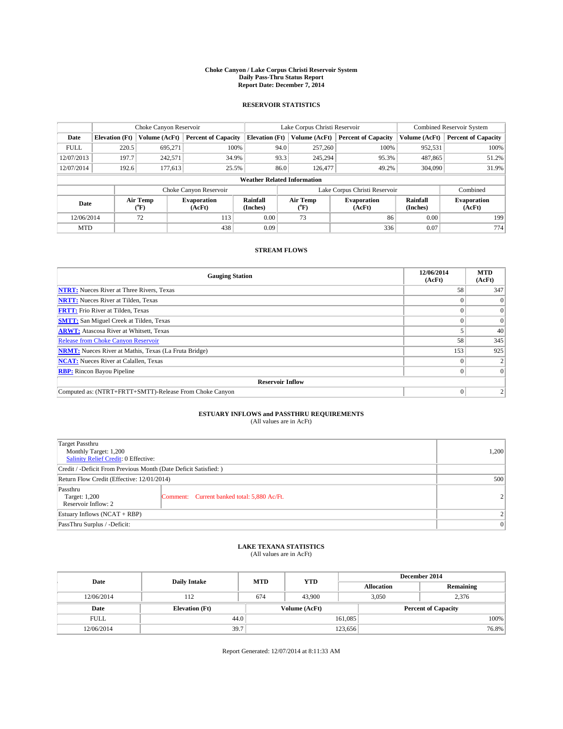#### **Choke Canyon / Lake Corpus Christi Reservoir System Daily Pass-Thru Status Report Report Date: December 7, 2014**

## **RESERVOIR STATISTICS**

|             |                       | Choke Canyon Reservoir |                              |                                    | Lake Corpus Christi Reservoir | Combined Reservoir System    |                      |                              |
|-------------|-----------------------|------------------------|------------------------------|------------------------------------|-------------------------------|------------------------------|----------------------|------------------------------|
| Date        | <b>Elevation</b> (Ft) | Volume (AcFt)          | <b>Percent of Capacity</b>   | <b>Elevation</b> (Ft)              | Volume (AcFt)                 | <b>Percent of Capacity</b>   | Volume (AcFt)        | <b>Percent of Capacity</b>   |
| <b>FULL</b> | 220.5                 | 695.271                | 100%                         | 94.0                               | 257,260                       | 100%                         | 952,531              | 100%                         |
| 12/07/2013  | 197.7                 | 242,571                | 34.9%                        | 93.3                               | 245,294                       | 95.3%                        | 487,865              | 51.2%                        |
| 12/07/2014  | 192.6                 | 177,613                | 25.5%                        | 86.0                               | 126,477                       | 49.2%                        | 304,090              | 31.9%                        |
|             |                       |                        |                              | <b>Weather Related Information</b> |                               |                              |                      |                              |
|             |                       |                        | Choke Canyon Reservoir       |                                    | Lake Corpus Christi Reservoir |                              |                      | Combined                     |
| Date        |                       | Air Temp<br>(°F)       | <b>Evaporation</b><br>(AcFt) | Rainfall<br>(Inches)               | Air Temp<br>(°F)              | <b>Evaporation</b><br>(AcFt) | Rainfall<br>(Inches) | <b>Evaporation</b><br>(AcFt) |
| 12/06/2014  |                       | 72                     | 113                          | 0.00                               | 73                            | 86                           | 0.00                 | 199                          |
| <b>MTD</b>  |                       |                        | 438                          | 0.09                               |                               | 336                          | 0.07                 | 774                          |

## **STREAM FLOWS**

| <b>Gauging Station</b>                                       | 12/06/2014<br>(AcFt) | <b>MTD</b><br>(AcFt) |
|--------------------------------------------------------------|----------------------|----------------------|
| <b>NTRT:</b> Nueces River at Three Rivers, Texas             | 58                   | 347                  |
| <b>NRTT:</b> Nueces River at Tilden, Texas                   |                      | $\Omega$             |
| <b>FRTT:</b> Frio River at Tilden, Texas                     |                      | $\overline{0}$       |
| <b>SMTT:</b> San Miguel Creek at Tilden, Texas               |                      | $\overline{0}$       |
| <b>ARWT:</b> Atascosa River at Whitsett, Texas               |                      | 40                   |
| <b>Release from Choke Canyon Reservoir</b>                   | 58                   | 345                  |
| <b>NRMT:</b> Nueces River at Mathis, Texas (La Fruta Bridge) | 153                  | 925                  |
| <b>NCAT:</b> Nueces River at Calallen, Texas                 |                      |                      |
| <b>RBP:</b> Rincon Bayou Pipeline                            |                      | $\Omega$             |
| <b>Reservoir Inflow</b>                                      |                      |                      |
| Computed as: (NTRT+FRTT+SMTT)-Release From Choke Canyon      | $\Omega$             |                      |

# **ESTUARY INFLOWS and PASSTHRU REQUIREMENTS**<br>(All values are in AcFt)

| Target Passthru<br>Monthly Target: 1,200<br>Salinity Relief Credit: 0 Effective: |                                             |                |  |  |
|----------------------------------------------------------------------------------|---------------------------------------------|----------------|--|--|
| Credit / -Deficit From Previous Month (Date Deficit Satisfied: )                 |                                             |                |  |  |
| Return Flow Credit (Effective: 12/01/2014)                                       |                                             |                |  |  |
| Passthru<br>Target: 1,200<br>Reservoir Inflow: 2                                 | Comment: Current banked total: 5,880 Ac/Ft. | $\overline{2}$ |  |  |
| Estuary Inflows (NCAT + RBP)                                                     | $\overline{\mathcal{L}}$                    |                |  |  |
| PassThru Surplus / -Deficit:                                                     | 0                                           |                |  |  |

# **LAKE TEXANA STATISTICS** (All values are in AcFt)

| Date        | <b>Daily Intake</b>   | <b>MTD</b>    | <b>YTD</b> | December 2014     |                            |           |       |
|-------------|-----------------------|---------------|------------|-------------------|----------------------------|-----------|-------|
|             |                       |               |            | <b>Allocation</b> |                            | Remaining |       |
| 12/06/2014  | 112                   | 674           | 43,900     |                   | 3,050<br>2,376             |           |       |
| Date        | <b>Elevation</b> (Ft) | Volume (AcFt) |            |                   | <b>Percent of Capacity</b> |           |       |
| <b>FULL</b> | 44.0                  |               |            | 161,085           |                            |           | 100%  |
| 12/06/2014  | 39.7                  |               |            | 123,656           |                            |           | 76.8% |

Report Generated: 12/07/2014 at 8:11:33 AM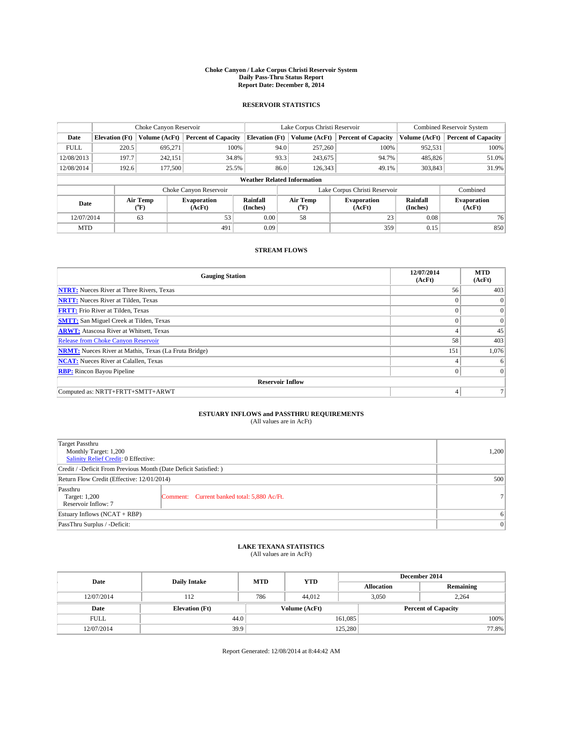#### **Choke Canyon / Lake Corpus Christi Reservoir System Daily Pass-Thru Status Report Report Date: December 8, 2014**

## **RESERVOIR STATISTICS**

|             |                       | Choke Canyon Reservoir |                              |                                    | Lake Corpus Christi Reservoir | Combined Reservoir System    |                      |                              |
|-------------|-----------------------|------------------------|------------------------------|------------------------------------|-------------------------------|------------------------------|----------------------|------------------------------|
| Date        | <b>Elevation</b> (Ft) | Volume (AcFt)          | <b>Percent of Capacity</b>   | <b>Elevation (Ft)</b>              | Volume (AcFt)                 | <b>Percent of Capacity</b>   | Volume (AcFt)        | <b>Percent of Capacity</b>   |
| <b>FULL</b> | 220.5                 | 695,271                | 100%                         | 94.0                               | 257,260                       | 100%                         | 952,531              | 100%                         |
| 12/08/2013  | 197.7                 | 242,151                | 34.8%                        | 93.3                               | 243,675                       | 94.7%                        | 485,826              | 51.0%                        |
| 12/08/2014  | 192.6                 | 177,500                | 25.5%                        | 86.0                               | 126.343                       | 49.1%                        | 303,843              | 31.9%                        |
|             |                       |                        |                              | <b>Weather Related Information</b> |                               |                              |                      |                              |
|             |                       |                        | Choke Canyon Reservoir       |                                    | Lake Corpus Christi Reservoir |                              | Combined             |                              |
| Date        |                       | Air Temp<br>(°F)       | <b>Evaporation</b><br>(AcFt) | Rainfall<br>(Inches)               | Air Temp<br>(°F)              | <b>Evaporation</b><br>(AcFt) | Rainfall<br>(Inches) | <b>Evaporation</b><br>(AcFt) |
| 12/07/2014  |                       | 63                     | 53                           | 0.00                               | 58                            | 23                           | 0.08                 | 76                           |
| <b>MTD</b>  |                       |                        | 491                          | 0.09                               |                               | 359                          | 0.15                 | 850                          |

## **STREAM FLOWS**

| <b>Gauging Station</b>                                       | 12/07/2014<br>(AcFt) | <b>MTD</b><br>(AcFt) |
|--------------------------------------------------------------|----------------------|----------------------|
| <b>NTRT:</b> Nueces River at Three Rivers, Texas             | 56                   | 403                  |
| <b>NRTT:</b> Nueces River at Tilden, Texas                   | $\theta$             | $\Omega$             |
| <b>FRTT:</b> Frio River at Tilden, Texas                     |                      | $\overline{0}$       |
| <b>SMTT:</b> San Miguel Creek at Tilden, Texas               | $\theta$             | $\overline{0}$       |
| <b>ARWT:</b> Atascosa River at Whitsett, Texas               |                      | 45                   |
| <b>Release from Choke Canyon Reservoir</b>                   | 58                   | 403                  |
| <b>NRMT:</b> Nueces River at Mathis, Texas (La Fruta Bridge) | 151                  | 1,076                |
| <b>NCAT:</b> Nueces River at Calallen, Texas                 | 4                    | 6                    |
| <b>RBP:</b> Rincon Bayou Pipeline                            | $\theta$             | $\Omega$             |
| <b>Reservoir Inflow</b>                                      |                      |                      |
| Computed as: NRTT+FRTT+SMTT+ARWT                             | 4                    |                      |

# **ESTUARY INFLOWS and PASSTHRU REQUIREMENTS**<br>(All values are in AcFt)

| Target Passthru<br>Monthly Target: 1,200<br>Salinity Relief Credit: 0 Effective: |                                             |    |  |  |
|----------------------------------------------------------------------------------|---------------------------------------------|----|--|--|
| Credit / -Deficit From Previous Month (Date Deficit Satisfied: )                 |                                             |    |  |  |
| Return Flow Credit (Effective: 12/01/2014)                                       |                                             |    |  |  |
| Passthru<br>Target: 1,200<br>Reservoir Inflow: 7                                 | Comment: Current banked total: 5,880 Ac/Ft. | 71 |  |  |
| Estuary Inflows (NCAT + RBP)                                                     |                                             |    |  |  |
| PassThru Surplus / -Deficit:                                                     | 0                                           |    |  |  |

# **LAKE TEXANA STATISTICS** (All values are in AcFt)

| Date        | <b>Daily Intake</b>   | <b>MTD</b> | <b>YTD</b>    | December 2014     |                            |           |  |
|-------------|-----------------------|------------|---------------|-------------------|----------------------------|-----------|--|
|             |                       |            |               | <b>Allocation</b> |                            | Remaining |  |
| 12/07/2014  | 112                   | 786        | 44,012        |                   | 3,050<br>2,264             |           |  |
| Date        | <b>Elevation</b> (Ft) |            | Volume (AcFt) |                   | <b>Percent of Capacity</b> |           |  |
| <b>FULL</b> | 44.0                  |            |               | 161,085           |                            | 100%      |  |
| 12/07/2014  | 39.9                  |            |               | 125,280           |                            | 77.8%     |  |

Report Generated: 12/08/2014 at 8:44:42 AM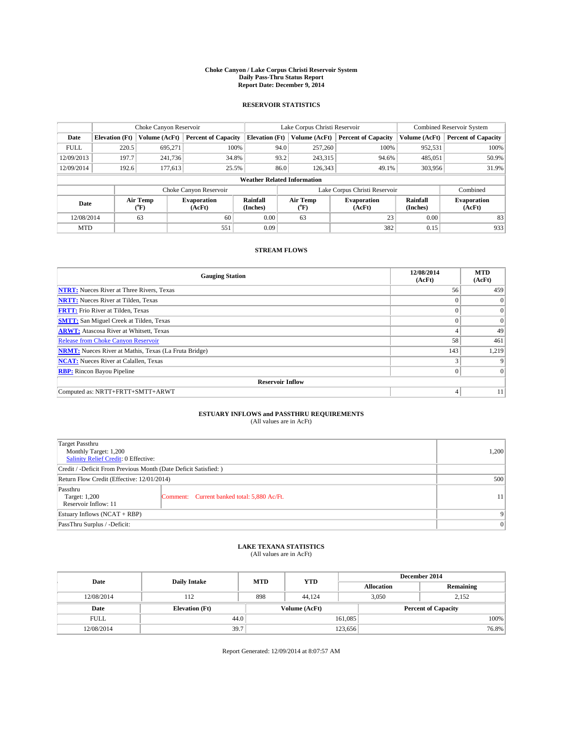#### **Choke Canyon / Lake Corpus Christi Reservoir System Daily Pass-Thru Status Report Report Date: December 9, 2014**

## **RESERVOIR STATISTICS**

|             |                                    | Choke Canyon Reservoir |                              |                       | Lake Corpus Christi Reservoir | <b>Combined Reservoir System</b> |                      |                              |  |
|-------------|------------------------------------|------------------------|------------------------------|-----------------------|-------------------------------|----------------------------------|----------------------|------------------------------|--|
| Date        | <b>Elevation</b> (Ft)              | Volume (AcFt)          | <b>Percent of Capacity</b>   | <b>Elevation (Ft)</b> | Volume (AcFt)                 | <b>Percent of Capacity</b>       | Volume (AcFt)        | <b>Percent of Capacity</b>   |  |
| <b>FULL</b> | 220.5                              | 695.271                | 100%                         |                       | 257,260<br>94.0               | 100%                             | 952,531              | 100%                         |  |
| 12/09/2013  | 197.7                              | 241,736                | 34.8%                        |                       | 93.2<br>243,315               | 94.6%                            | 485,051              | 50.9%                        |  |
| 12/09/2014  | 192.6                              | 177,613                | 25.5%                        |                       | 86.0<br>126.343               | 49.1%                            | 303,956              | 31.9%                        |  |
|             | <b>Weather Related Information</b> |                        |                              |                       |                               |                                  |                      |                              |  |
|             |                                    |                        | Choke Canyon Reservoir       |                       | Lake Corpus Christi Reservoir |                                  | Combined             |                              |  |
| Date        |                                    | Air Temp<br>(°F)       | <b>Evaporation</b><br>(AcFt) | Rainfall<br>(Inches)  | Air Temp<br>$(^{0}F)$         | <b>Evaporation</b><br>(AcFt)     | Rainfall<br>(Inches) | <b>Evaporation</b><br>(AcFt) |  |
| 12/08/2014  |                                    | 63                     | 60                           | 0.00                  | 63                            | 23                               | 0.00                 | 83                           |  |
| <b>MTD</b>  |                                    |                        | 551                          | 0.09                  |                               | 382                              | 0.15                 | 933                          |  |

## **STREAM FLOWS**

| <b>Gauging Station</b>                                       | 12/08/2014<br>(AcFt) | <b>MTD</b><br>(AcFt) |
|--------------------------------------------------------------|----------------------|----------------------|
| <b>NTRT:</b> Nueces River at Three Rivers, Texas             | 56                   | 459                  |
| <b>NRTT:</b> Nueces River at Tilden, Texas                   | $\theta$             | $\theta$             |
| <b>FRTT:</b> Frio River at Tilden, Texas                     |                      | $\overline{0}$       |
| <b>SMTT:</b> San Miguel Creek at Tilden, Texas               | $\theta$             | $\overline{0}$       |
| <b>ARWT:</b> Atascosa River at Whitsett, Texas               |                      | 49                   |
| <b>Release from Choke Canyon Reservoir</b>                   | 58                   | 461                  |
| <b>NRMT:</b> Nueces River at Mathis, Texas (La Fruta Bridge) | 143                  | 1,219                |
| <b>NCAT:</b> Nueces River at Calallen, Texas                 | 3                    | 9                    |
| <b>RBP:</b> Rincon Bayou Pipeline                            | $\theta$             | $\Omega$             |
| <b>Reservoir Inflow</b>                                      |                      |                      |
| Computed as: NRTT+FRTT+SMTT+ARWT                             | 4                    | 11                   |

# **ESTUARY INFLOWS and PASSTHRU REQUIREMENTS**<br>(All values are in AcFt)

| Target Passthru<br>Monthly Target: 1,200<br>Salinity Relief Credit: 0 Effective: |                                             |                 |  |  |
|----------------------------------------------------------------------------------|---------------------------------------------|-----------------|--|--|
| Credit / -Deficit From Previous Month (Date Deficit Satisfied: )                 |                                             |                 |  |  |
| Return Flow Credit (Effective: 12/01/2014)                                       |                                             |                 |  |  |
| Passthru<br>Target: 1,200<br>Reservoir Inflow: 11                                | Comment: Current banked total: 5,880 Ac/Ft. | 11 <sup>1</sup> |  |  |
| Estuary Inflows (NCAT + RBP)                                                     |                                             |                 |  |  |
| PassThru Surplus / -Deficit:                                                     | 0                                           |                 |  |  |

# **LAKE TEXANA STATISTICS** (All values are in AcFt)

| Date        | <b>Daily Intake</b>   | <b>MTD</b>    | <b>YTD</b> | December 2014     |                            |           |       |
|-------------|-----------------------|---------------|------------|-------------------|----------------------------|-----------|-------|
|             |                       |               |            | <b>Allocation</b> |                            | Remaining |       |
| 12/08/2014  | 112                   | 898           | 44.124     |                   | 3,050<br>2,152             |           |       |
| Date        | <b>Elevation</b> (Ft) | Volume (AcFt) |            |                   | <b>Percent of Capacity</b> |           |       |
| <b>FULL</b> | 44.0                  |               |            | 161,085           |                            |           | 100%  |
| 12/08/2014  | 39.7                  |               |            | 123,656           |                            |           | 76.8% |

Report Generated: 12/09/2014 at 8:07:57 AM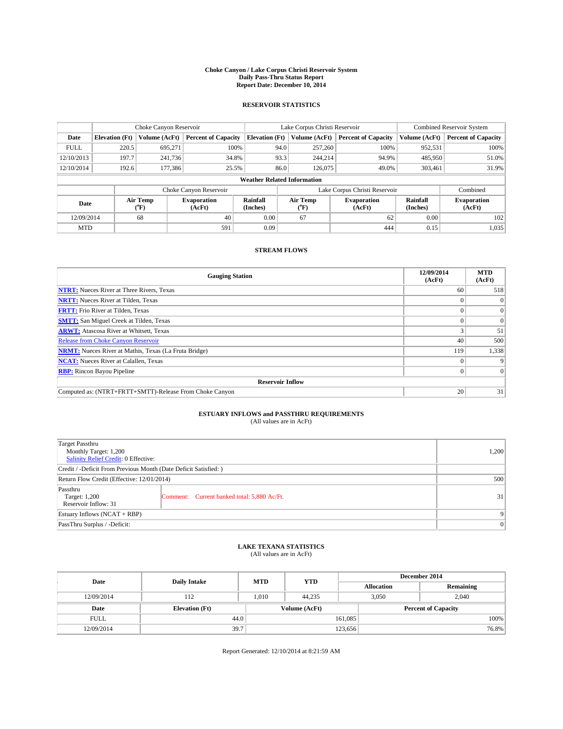#### **Choke Canyon / Lake Corpus Christi Reservoir System Daily Pass-Thru Status Report Report Date: December 10, 2014**

## **RESERVOIR STATISTICS**

|             |                       | Choke Canyon Reservoir |                            |                                    | Lake Corpus Christi Reservoir | Combined Reservoir System     |                      |                              |
|-------------|-----------------------|------------------------|----------------------------|------------------------------------|-------------------------------|-------------------------------|----------------------|------------------------------|
| Date        | <b>Elevation</b> (Ft) | Volume (AcFt)          | <b>Percent of Capacity</b> | <b>Elevation</b> (Ft)              | Volume (AcFt)                 | <b>Percent of Capacity</b>    | Volume (AcFt)        | <b>Percent of Capacity</b>   |
| <b>FULL</b> | 220.5                 | 695,271                | 100%                       | 94.0                               | 257,260                       | 100%                          | 952,531              | 100%                         |
| 12/10/2013  | 197.7                 | 241,736                | 34.8%                      | 93.3                               | 244,214                       | 94.9%                         | 485,950              | 51.0%                        |
| 12/10/2014  | 192.6                 | 177,386                | 25.5%                      | 86.0                               | 126,075                       | 49.0%                         | 303,461              | 31.9%                        |
|             |                       |                        |                            | <b>Weather Related Information</b> |                               |                               |                      |                              |
|             |                       |                        | Choke Canyon Reservoir     |                                    |                               | Lake Corpus Christi Reservoir |                      | Combined                     |
| Date        |                       | Air Temp<br>(°F)       | Evaporation<br>(AcFt)      | Rainfall<br>(Inches)               | Air Temp<br>("F)              | Evaporation<br>(AcFt)         | Rainfall<br>(Inches) | <b>Evaporation</b><br>(AcFt) |
| 12/09/2014  |                       | 68                     | 40                         | 0.00                               | 67                            | 62                            | 0.00                 | 102                          |

## **STREAM FLOWS**

MTD  $|$  1,035 1,035

| <b>Gauging Station</b>                                       | 12/09/2014<br>(AcFt) | <b>MTD</b><br>(AcFt) |  |  |  |  |
|--------------------------------------------------------------|----------------------|----------------------|--|--|--|--|
| <b>NTRT:</b> Nueces River at Three Rivers, Texas             | 60                   | 518                  |  |  |  |  |
| <b>NRTT:</b> Nueces River at Tilden, Texas                   |                      | $\Omega$             |  |  |  |  |
| <b>FRTT:</b> Frio River at Tilden, Texas                     |                      | $\overline{0}$       |  |  |  |  |
| <b>SMTT:</b> San Miguel Creek at Tilden, Texas               |                      | $\Omega$             |  |  |  |  |
| <b>ARWT:</b> Atascosa River at Whitsett, Texas               |                      | 51                   |  |  |  |  |
| <b>Release from Choke Canyon Reservoir</b>                   | 40                   | 500                  |  |  |  |  |
| <b>NRMT:</b> Nueces River at Mathis, Texas (La Fruta Bridge) | 119                  | 1,338                |  |  |  |  |
| <b>NCAT:</b> Nueces River at Calallen, Texas                 |                      | 9                    |  |  |  |  |
| <b>RBP:</b> Rincon Bayou Pipeline                            | 0                    | $\Omega$             |  |  |  |  |
| <b>Reservoir Inflow</b>                                      |                      |                      |  |  |  |  |
| Computed as: (NTRT+FRTT+SMTT)-Release From Choke Canyon      | 20                   | 31                   |  |  |  |  |

# **ESTUARY INFLOWS and PASSTHRU REQUIREMENTS**<br>(All values are in AcFt)

| <b>Target Passthru</b><br>Monthly Target: 1,200<br>Salinity Relief Credit: 0 Effective: |                                             |    |  |  |
|-----------------------------------------------------------------------------------------|---------------------------------------------|----|--|--|
| Credit / -Deficit From Previous Month (Date Deficit Satisfied: )                        |                                             |    |  |  |
| Return Flow Credit (Effective: 12/01/2014)                                              |                                             |    |  |  |
| Passthru<br>Target: 1,200<br>Reservoir Inflow: 31                                       | Comment: Current banked total: 5,880 Ac/Ft. | 31 |  |  |
| Estuary Inflows (NCAT + RBP)                                                            |                                             |    |  |  |
| PassThru Surplus / -Deficit:                                                            | $\Omega$                                    |    |  |  |

## **LAKE TEXANA STATISTICS** (All values are in AcFt)

| Date        | <b>Daily Intake</b>   | <b>MTD</b>    | <b>YTD</b> | December 2014              |                |           |  |
|-------------|-----------------------|---------------|------------|----------------------------|----------------|-----------|--|
|             |                       |               |            | <b>Allocation</b>          |                | Remaining |  |
| 12/09/2014  | 112                   | 1.010         | 44.235     |                            | 3,050<br>2.040 |           |  |
| Date        | <b>Elevation</b> (Ft) | Volume (AcFt) |            | <b>Percent of Capacity</b> |                |           |  |
| <b>FULL</b> | 44.0                  |               |            | 161,085                    |                | 100%      |  |
| 12/09/2014  | 39.7                  |               |            | 123,656                    |                | 76.8%     |  |

Report Generated: 12/10/2014 at 8:21:59 AM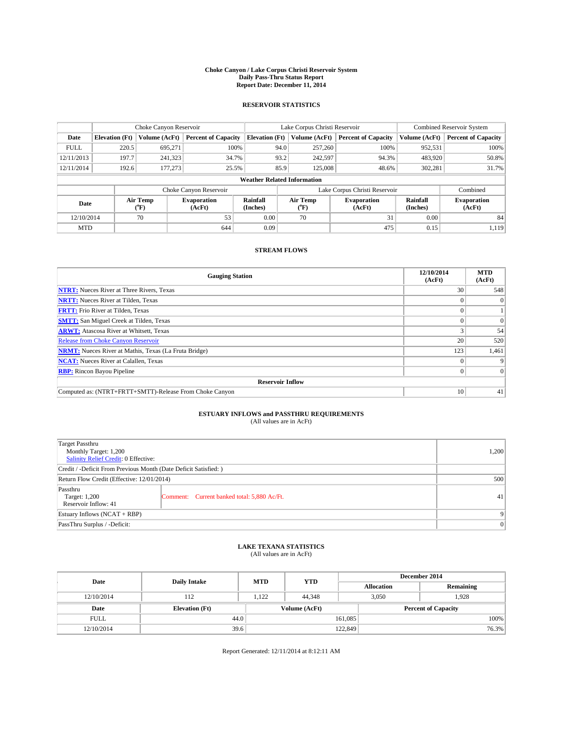#### **Choke Canyon / Lake Corpus Christi Reservoir System Daily Pass-Thru Status Report Report Date: December 11, 2014**

## **RESERVOIR STATISTICS**

|             |                                    | Choke Canyon Reservoir |                              |                       | Lake Corpus Christi Reservoir | Combined Reservoir System     |                      |                              |  |
|-------------|------------------------------------|------------------------|------------------------------|-----------------------|-------------------------------|-------------------------------|----------------------|------------------------------|--|
| Date        | <b>Elevation</b> (Ft)              | Volume (AcFt)          | <b>Percent of Capacity</b>   | <b>Elevation</b> (Ft) | Volume (AcFt)                 | <b>Percent of Capacity</b>    | Volume (AcFt)        | <b>Percent of Capacity</b>   |  |
| <b>FULL</b> | 220.5                              | 695,271                | 100%                         | 94.0                  | 257,260                       | 100%                          | 952,531              | 100%                         |  |
| 12/11/2013  | 197.7                              | 241,323                | 34.7%                        | 93.2                  | 242,597                       | 94.3%                         | 483,920              | 50.8%                        |  |
| 12/11/2014  | 192.6                              | 177,273                | 25.5%                        | 85.9                  | 125,008                       | 48.6%                         | 302,281              | 31.7%                        |  |
|             | <b>Weather Related Information</b> |                        |                              |                       |                               |                               |                      |                              |  |
|             |                                    |                        | Choke Canyon Reservoir       |                       |                               | Lake Corpus Christi Reservoir |                      | Combined                     |  |
| Date        |                                    | Air Temp<br>(°F)       | <b>Evaporation</b><br>(AcFt) | Rainfall<br>(Inches)  | Air Temp<br>("F)              | <b>Evaporation</b><br>(AcFt)  | Rainfall<br>(Inches) | <b>Evaporation</b><br>(AcFt) |  |
| 12/10/2014  |                                    | 70                     | 53                           | 0.00                  | 70                            | 31                            | 0.00                 | 84                           |  |
| <b>MTD</b>  |                                    |                        | 644                          | 0.09                  |                               | 475                           | 0.15                 | 1,119                        |  |

## **STREAM FLOWS**

| <b>Gauging Station</b>                                       | 12/10/2014<br>(AcFt) | <b>MTD</b><br>(AcFt) |  |  |  |  |
|--------------------------------------------------------------|----------------------|----------------------|--|--|--|--|
| <b>NTRT:</b> Nueces River at Three Rivers, Texas             | 30                   | 548                  |  |  |  |  |
| <b>NRTT:</b> Nueces River at Tilden, Texas                   |                      | $\Omega$             |  |  |  |  |
| <b>FRTT:</b> Frio River at Tilden, Texas                     |                      |                      |  |  |  |  |
| <b>SMTT:</b> San Miguel Creek at Tilden, Texas               |                      | $\Omega$             |  |  |  |  |
| <b>ARWT:</b> Atascosa River at Whitsett, Texas               |                      | 54                   |  |  |  |  |
| <b>Release from Choke Canyon Reservoir</b>                   | 20                   | 520                  |  |  |  |  |
| <b>NRMT:</b> Nueces River at Mathis, Texas (La Fruta Bridge) | 123                  | 1,461                |  |  |  |  |
| <b>NCAT:</b> Nueces River at Calallen, Texas                 |                      | 9                    |  |  |  |  |
| <b>RBP:</b> Rincon Bayou Pipeline                            | 0 <sup>1</sup>       | $\Omega$             |  |  |  |  |
| <b>Reservoir Inflow</b>                                      |                      |                      |  |  |  |  |
| Computed as: (NTRT+FRTT+SMTT)-Release From Choke Canyon      | 10                   | 41                   |  |  |  |  |

# **ESTUARY INFLOWS and PASSTHRU REQUIREMENTS**<br>(All values are in AcFt)

| Target Passthru<br>Monthly Target: 1,200<br>Salinity Relief Credit: 0 Effective: |                                             |    |  |  |
|----------------------------------------------------------------------------------|---------------------------------------------|----|--|--|
| Credit / -Deficit From Previous Month (Date Deficit Satisfied: )                 |                                             |    |  |  |
| Return Flow Credit (Effective: 12/01/2014)                                       | 500                                         |    |  |  |
| Passthru<br>Target: 1,200<br>Reservoir Inflow: 41                                | Comment: Current banked total: 5,880 Ac/Ft. | 41 |  |  |
| Estuary Inflows (NCAT + RBP)                                                     | $\mathbf{Q}$                                |    |  |  |
| PassThru Surplus / -Deficit:                                                     | 0                                           |    |  |  |

# **LAKE TEXANA STATISTICS** (All values are in AcFt)

| Date        | <b>Daily Intake</b>   | <b>MTD</b> | <b>YTD</b>    | December 2014     |                            |           |  |
|-------------|-----------------------|------------|---------------|-------------------|----------------------------|-----------|--|
|             |                       |            |               | <b>Allocation</b> |                            | Remaining |  |
| 12/10/2014  | 112                   | 1,122      | 44,348        |                   | 3,050<br>1,928             |           |  |
| Date        | <b>Elevation</b> (Ft) |            | Volume (AcFt) |                   | <b>Percent of Capacity</b> |           |  |
| <b>FULL</b> | 44.0                  |            |               | 161,085           |                            | 100%      |  |
| 12/10/2014  | 39.6                  |            |               | 122,849           |                            | 76.3%     |  |

Report Generated: 12/11/2014 at 8:12:11 AM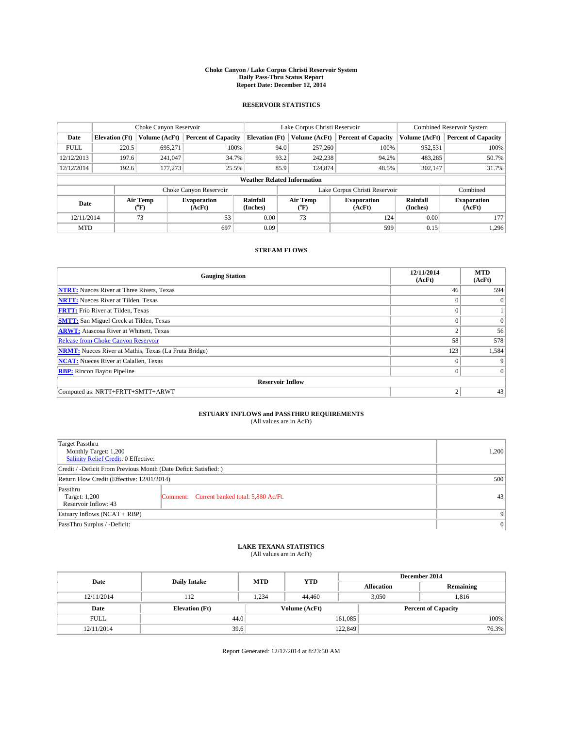#### **Choke Canyon / Lake Corpus Christi Reservoir System Daily Pass-Thru Status Report Report Date: December 12, 2014**

## **RESERVOIR STATISTICS**

|             |                       | Choke Canyon Reservoir |                              |                                    | Lake Corpus Christi Reservoir               | Combined Reservoir System     |                      |                              |
|-------------|-----------------------|------------------------|------------------------------|------------------------------------|---------------------------------------------|-------------------------------|----------------------|------------------------------|
| Date        | <b>Elevation</b> (Ft) | Volume (AcFt)          | <b>Percent of Capacity</b>   | <b>Elevation</b> (Ft)              | <b>Percent of Capacity</b><br>Volume (AcFt) |                               | Volume (AcFt)        | <b>Percent of Capacity</b>   |
| <b>FULL</b> | 220.5                 | 695.271                | 100%                         | 94.0                               | 257,260                                     | 100%                          | 952,531              | 100%                         |
| 12/12/2013  | 197.6                 | 241,047                | 34.7%                        | 93.2                               | 242,238                                     | 94.2%                         | 483,285              | 50.7%                        |
| 12/12/2014  | 192.6                 | 177,273                | 25.5%                        | 85.9                               | 124,874                                     | 48.5%                         | 302,147              | 31.7%                        |
|             |                       |                        |                              | <b>Weather Related Information</b> |                                             |                               |                      |                              |
|             |                       |                        | Choke Canyon Reservoir       |                                    |                                             | Lake Corpus Christi Reservoir |                      | Combined                     |
| Date        |                       | Air Temp<br>(°F)       | <b>Evaporation</b><br>(AcFt) | Rainfall<br>(Inches)               | Air Temp<br>$\rm ^{(^o}\!F)$                | <b>Evaporation</b><br>(AcFt)  | Rainfall<br>(Inches) | <b>Evaporation</b><br>(AcFt) |
| 12/11/2014  |                       | 73                     | 53                           | 0.00                               | 73                                          | 124                           | 0.00                 | 177                          |
| <b>MTD</b>  |                       |                        | 697                          | 0.09                               |                                             | 599                           | 0.15                 | 1,296                        |

## **STREAM FLOWS**

| <b>Gauging Station</b>                                       | 12/11/2014<br>(AcFt) | <b>MTD</b><br>(AcFt) |  |  |  |  |  |
|--------------------------------------------------------------|----------------------|----------------------|--|--|--|--|--|
| <b>NTRT:</b> Nueces River at Three Rivers, Texas             | 46                   | 594                  |  |  |  |  |  |
| <b>NRTT:</b> Nueces River at Tilden, Texas                   | $\theta$             | $\Omega$             |  |  |  |  |  |
| <b>FRTT:</b> Frio River at Tilden, Texas                     |                      |                      |  |  |  |  |  |
| <b>SMTT:</b> San Miguel Creek at Tilden, Texas               | $\theta$             | $\overline{0}$       |  |  |  |  |  |
| <b>ARWT:</b> Atascosa River at Whitsett, Texas               | $\overline{2}$       | 56                   |  |  |  |  |  |
| <b>Release from Choke Canyon Reservoir</b>                   | 58                   | 578                  |  |  |  |  |  |
| <b>NRMT:</b> Nueces River at Mathis, Texas (La Fruta Bridge) | 123                  | 1,584                |  |  |  |  |  |
| <b>NCAT:</b> Nueces River at Calallen, Texas                 | $\theta$             | 9                    |  |  |  |  |  |
| <b>RBP:</b> Rincon Bayou Pipeline                            | $\theta$             | $\Omega$             |  |  |  |  |  |
| <b>Reservoir Inflow</b>                                      |                      |                      |  |  |  |  |  |
| Computed as: NRTT+FRTT+SMTT+ARWT                             | $\overline{2}$       | 43                   |  |  |  |  |  |

# **ESTUARY INFLOWS and PASSTHRU REQUIREMENTS**<br>(All values are in AcFt)

| Target Passthru<br>Monthly Target: 1,200<br>Salinity Relief Credit: 0 Effective: |                                             |    |  |  |
|----------------------------------------------------------------------------------|---------------------------------------------|----|--|--|
| Credit / -Deficit From Previous Month (Date Deficit Satisfied: )                 |                                             |    |  |  |
| Return Flow Credit (Effective: 12/01/2014)                                       |                                             |    |  |  |
| Passthru<br>Target: 1,200<br>Reservoir Inflow: 43                                | Comment: Current banked total: 5,880 Ac/Ft. | 43 |  |  |
| Estuary Inflows (NCAT + RBP)                                                     |                                             |    |  |  |
| PassThru Surplus / -Deficit:                                                     | 0                                           |    |  |  |

# **LAKE TEXANA STATISTICS** (All values are in AcFt)

| Date        | <b>Daily Intake</b>   | <b>MTD</b> | <b>YTD</b>    | December 2014     |                            |           |  |
|-------------|-----------------------|------------|---------------|-------------------|----------------------------|-----------|--|
|             |                       |            |               | <b>Allocation</b> |                            | Remaining |  |
| 12/11/2014  | 112                   | 1,234      | 44,460        |                   | 3,050<br>1,816             |           |  |
| Date        | <b>Elevation</b> (Ft) |            | Volume (AcFt) |                   | <b>Percent of Capacity</b> |           |  |
| <b>FULL</b> | 44.0                  |            |               | 161,085           |                            | 100%      |  |
| 12/11/2014  | 39.6                  |            |               | 122,849           |                            | 76.3%     |  |

Report Generated: 12/12/2014 at 8:23:50 AM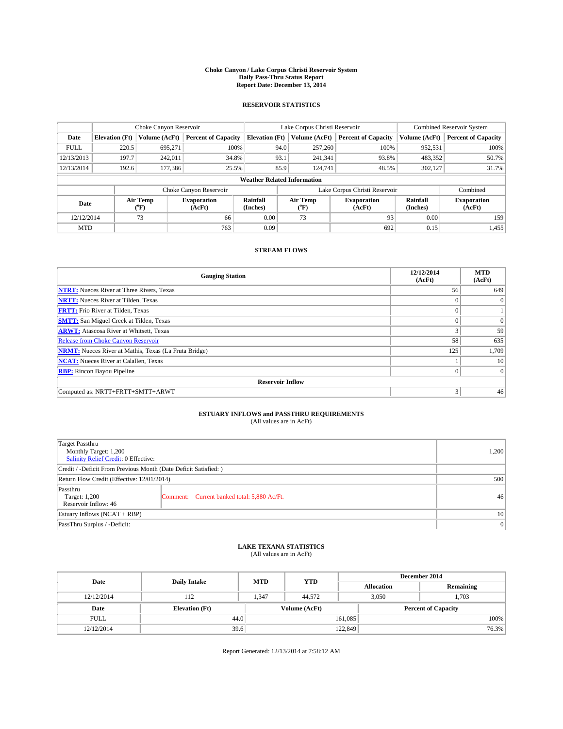#### **Choke Canyon / Lake Corpus Christi Reservoir System Daily Pass-Thru Status Report Report Date: December 13, 2014**

## **RESERVOIR STATISTICS**

|             | Choke Canyon Reservoir |                  |                                                                                                |                                    | Lake Corpus Christi Reservoir | Combined Reservoir System  |                              |                            |
|-------------|------------------------|------------------|------------------------------------------------------------------------------------------------|------------------------------------|-------------------------------|----------------------------|------------------------------|----------------------------|
| Date        | <b>Elevation</b> (Ft)  | Volume (AcFt)    | <b>Percent of Capacity</b>                                                                     | <b>Elevation</b> (Ft)              | Volume (AcFt)                 | <b>Percent of Capacity</b> | Volume (AcFt)                | <b>Percent of Capacity</b> |
| <b>FULL</b> | 220.5                  | 695.271          | 100%                                                                                           | 94.0                               | 257,260                       | 100%                       | 952,531                      | 100%                       |
| 12/13/2013  | 197.7                  | 242,011          | 34.8%                                                                                          | 93.1                               | 241,341                       | 93.8%                      | 483,352                      | 50.7%                      |
| 12/13/2014  | 192.6                  | 177,386          | 25.5%                                                                                          | 85.9                               | 124,741                       | 48.5%                      | 302,127                      | 31.7%                      |
|             |                        |                  |                                                                                                | <b>Weather Related Information</b> |                               |                            |                              |                            |
|             |                        |                  | Choke Canyon Reservoir                                                                         |                                    | Lake Corpus Christi Reservoir |                            |                              | Combined                   |
| Date        |                        | Air Temp<br>(°F) | Air Temp<br>Rainfall<br><b>Evaporation</b><br>(AcFt)<br>(Inches)<br>(AcFt)<br>$\rm ^{(^o}\!F)$ |                                    | <b>Evaporation</b>            | Rainfall<br>(Inches)       | <b>Evaporation</b><br>(AcFt) |                            |
| 12/12/2014  |                        | 73               | 66                                                                                             | 0.00                               | 73                            | 93                         | 0.00                         | 159                        |
| <b>MTD</b>  |                        |                  | 763                                                                                            | 0.09                               |                               | 692                        | 0.15                         | 1,455                      |

## **STREAM FLOWS**

| <b>Gauging Station</b>                                       | 12/12/2014<br>(AcFt) | <b>MTD</b><br>(AcFt) |  |  |  |  |  |
|--------------------------------------------------------------|----------------------|----------------------|--|--|--|--|--|
| <b>NTRT:</b> Nueces River at Three Rivers, Texas             | 56                   | 649                  |  |  |  |  |  |
| <b>NRTT:</b> Nueces River at Tilden, Texas                   | $\theta$             | $\Omega$             |  |  |  |  |  |
| <b>FRTT:</b> Frio River at Tilden, Texas                     |                      |                      |  |  |  |  |  |
| <b>SMTT:</b> San Miguel Creek at Tilden, Texas               | $\theta$             | $\overline{0}$       |  |  |  |  |  |
| <b>ARWT:</b> Atascosa River at Whitsett, Texas               |                      | 59                   |  |  |  |  |  |
| Release from Choke Canyon Reservoir                          | 58                   | 635                  |  |  |  |  |  |
| <b>NRMT:</b> Nueces River at Mathis, Texas (La Fruta Bridge) | 125                  | 1,709                |  |  |  |  |  |
| <b>NCAT:</b> Nueces River at Calallen, Texas                 |                      | 10                   |  |  |  |  |  |
| <b>RBP:</b> Rincon Bayou Pipeline                            | $\theta$             | $\Omega$             |  |  |  |  |  |
| <b>Reservoir Inflow</b>                                      |                      |                      |  |  |  |  |  |
| Computed as: NRTT+FRTT+SMTT+ARWT                             | 3                    | 46                   |  |  |  |  |  |

# **ESTUARY INFLOWS and PASSTHRU REQUIREMENTS**<br>(All values are in AcFt)

| Target Passthru<br>Monthly Target: 1,200<br>Salinity Relief Credit: 0 Effective: |                                             | 1,200 |
|----------------------------------------------------------------------------------|---------------------------------------------|-------|
| Credit / -Deficit From Previous Month (Date Deficit Satisfied: )                 |                                             |       |
| Return Flow Credit (Effective: 12/01/2014)                                       | 500                                         |       |
| Passthru<br>Target: 1,200<br>Reservoir Inflow: 46                                | Comment: Current banked total: 5,880 Ac/Ft. | 46    |
| Estuary Inflows (NCAT + RBP)                                                     | 10 <sup>1</sup>                             |       |
| PassThru Surplus / -Deficit:                                                     | $\Omega$                                    |       |

# **LAKE TEXANA STATISTICS** (All values are in AcFt)

| Date        | <b>Daily Intake</b>   | <b>MTD</b> | <b>YTD</b>    | December 2014     |                            |           |       |
|-------------|-----------------------|------------|---------------|-------------------|----------------------------|-----------|-------|
|             |                       |            |               | <b>Allocation</b> |                            | Remaining |       |
| 12/12/2014  | 112                   | 1,347      | 44,572        |                   | 1,703<br>3,050             |           |       |
| Date        | <b>Elevation</b> (Ft) |            | Volume (AcFt) |                   | <b>Percent of Capacity</b> |           |       |
| <b>FULL</b> | 44.0                  |            |               | 161,085           |                            |           | 100%  |
| 12/12/2014  | 39.6                  |            |               | 122,849           |                            |           | 76.3% |

Report Generated: 12/13/2014 at 7:58:12 AM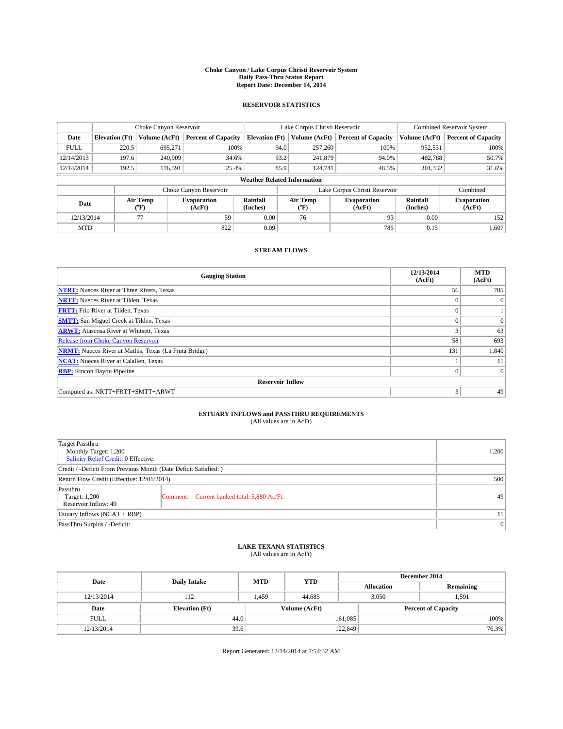#### **Choke Canyon / Lake Corpus Christi Reservoir System Daily Pass-Thru Status Report Report Date: December 14, 2014**

## **RESERVOIR STATISTICS**

|             | Choke Canyon Reservoir |                  |                              |                                    | Lake Corpus Christi Reservoir                                | Combined Reservoir System     |                      |                              |
|-------------|------------------------|------------------|------------------------------|------------------------------------|--------------------------------------------------------------|-------------------------------|----------------------|------------------------------|
| Date        | <b>Elevation</b> (Ft)  | Volume (AcFt)    | <b>Percent of Capacity</b>   | <b>Elevation</b> (Ft)              | Volume (AcFt)                                                | <b>Percent of Capacity</b>    | Volume (AcFt)        | <b>Percent of Capacity</b>   |
| <b>FULL</b> | 220.5                  | 695.271          | 100%                         | 94.0                               | 257,260                                                      | 100%                          | 952,531              | 100%                         |
| 12/14/2013  | 197.6                  | 240,909          | 34.6%                        | 93.2                               | 241,879                                                      | 94.0%                         | 482,788              | 50.7%                        |
| 12/14/2014  | 192.5                  | 176.591          | 25.4%                        | 85.9                               | 124,741                                                      | 48.5%                         | 301,332              | 31.6%                        |
|             |                        |                  |                              | <b>Weather Related Information</b> |                                                              |                               |                      |                              |
|             |                        |                  | Choke Canyon Reservoir       |                                    |                                                              | Lake Corpus Christi Reservoir |                      | Combined                     |
| Date        |                        | Air Temp<br>(°F) | <b>Evaporation</b><br>(AcFt) | Rainfall<br>(Inches)               | Air Temp<br><b>Evaporation</b><br>(AcFt)<br>$\rm ^{(^o}\!F)$ |                               | Rainfall<br>(Inches) | <b>Evaporation</b><br>(AcFt) |
| 12/13/2014  |                        | 77               | 59                           | 0.00                               | 76                                                           | 93                            | 0.00                 | 152                          |
| <b>MTD</b>  |                        |                  | 822                          | 0.09                               |                                                              | 785                           | 0.15                 | 1,607                        |

## **STREAM FLOWS**

| <b>Gauging Station</b>                                       | 12/13/2014<br>(AcFt) | <b>MTD</b><br>(AcFt) |  |  |  |  |
|--------------------------------------------------------------|----------------------|----------------------|--|--|--|--|
| <b>NTRT:</b> Nueces River at Three Rivers, Texas             | 56                   | 705                  |  |  |  |  |
| <b>NRTT:</b> Nueces River at Tilden, Texas                   | $\mathbf{0}$         | $\mathbf{0}$         |  |  |  |  |
| <b>FRTT:</b> Frio River at Tilden, Texas                     | $\theta$             |                      |  |  |  |  |
| <b>SMTT:</b> San Miguel Creek at Tilden, Texas               | $\theta$             | $\Omega$             |  |  |  |  |
| <b>ARWT:</b> Atascosa River at Whitsett, Texas               |                      | 63                   |  |  |  |  |
| <b>Release from Choke Canyon Reservoir</b>                   | 58                   | 693                  |  |  |  |  |
| <b>NRMT:</b> Nueces River at Mathis, Texas (La Fruta Bridge) | 131                  | 1,840                |  |  |  |  |
| <b>NCAT:</b> Nueces River at Calallen, Texas                 |                      | 11                   |  |  |  |  |
| <b>RBP:</b> Rincon Bayou Pipeline                            | $\theta$             | $\Omega$             |  |  |  |  |
| <b>Reservoir Inflow</b>                                      |                      |                      |  |  |  |  |
| Computed as: NRTT+FRTT+SMTT+ARWT                             | 3                    | 49                   |  |  |  |  |

# **ESTUARY INFLOWS and PASSTHRU REQUIREMENTS**<br>(All values are in AcFt)

| Target Passthru<br>Monthly Target: 1,200<br>Salinity Relief Credit: 0 Effective: | 1.200                                       |    |
|----------------------------------------------------------------------------------|---------------------------------------------|----|
| Credit / -Deficit From Previous Month (Date Deficit Satisfied: )                 |                                             |    |
| Return Flow Credit (Effective: 12/01/2014)                                       | 500                                         |    |
| Passthru<br>Target: 1,200<br>Reservoir Inflow: 49                                | Comment: Current banked total: 5,880 Ac/Ft. | 49 |
| Estuary Inflows (NCAT + RBP)                                                     | 11                                          |    |
| PassThru Surplus / -Deficit:                                                     | 0                                           |    |

# **LAKE TEXANA STATISTICS** (All values are in AcFt)

| Date        | <b>Daily Intake</b>   | <b>MTD</b>    | <b>YTD</b> | December 2014     |                            |           |  |
|-------------|-----------------------|---------------|------------|-------------------|----------------------------|-----------|--|
|             |                       |               |            | <b>Allocation</b> |                            | Remaining |  |
| 12/13/2014  | 112                   | 1,459         | 44,685     |                   | 3,050<br>1,591             |           |  |
| Date        | <b>Elevation</b> (Ft) | Volume (AcFt) |            |                   | <b>Percent of Capacity</b> |           |  |
| <b>FULL</b> | 44.0                  |               |            | 161,085           |                            | 100%      |  |
| 12/13/2014  | 39.6                  |               |            | 122,849           |                            | 76.3%     |  |

Report Generated: 12/14/2014 at 7:54:32 AM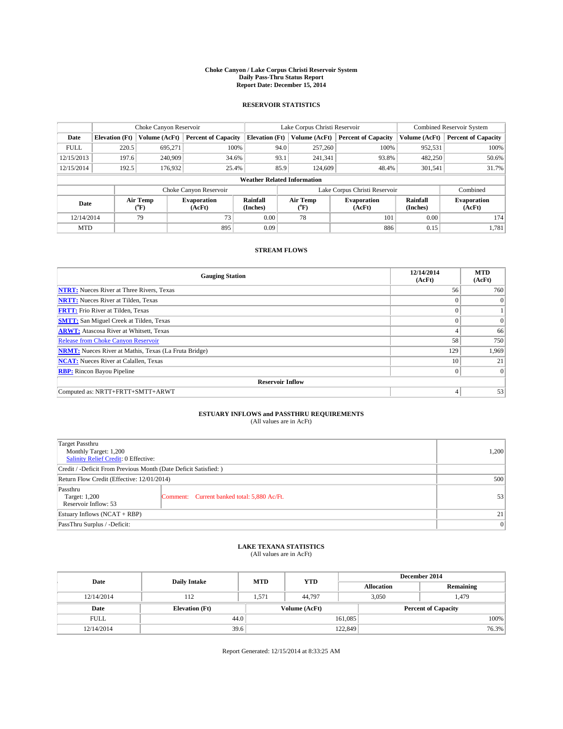#### **Choke Canyon / Lake Corpus Christi Reservoir System Daily Pass-Thru Status Report Report Date: December 15, 2014**

## **RESERVOIR STATISTICS**

|             | Choke Canyon Reservoir |                  |                              |                                    | Lake Corpus Christi Reservoir                                | Combined Reservoir System     |                      |                              |
|-------------|------------------------|------------------|------------------------------|------------------------------------|--------------------------------------------------------------|-------------------------------|----------------------|------------------------------|
| Date        | <b>Elevation</b> (Ft)  | Volume (AcFt)    | <b>Percent of Capacity</b>   | <b>Elevation</b> (Ft)              | Volume (AcFt)                                                | <b>Percent of Capacity</b>    | Volume (AcFt)        | <b>Percent of Capacity</b>   |
| <b>FULL</b> | 220.5                  | 695.271          | 100%                         | 94.0                               | 257,260                                                      | 100%                          | 952,531              | 100%                         |
| 12/15/2013  | 197.6                  | 240,909          | 34.6%                        | 93.1                               | 241,341                                                      | 93.8%                         | 482,250              | 50.6%                        |
| 12/15/2014  | 192.5                  | 176,932          | 25.4%                        | 85.9                               | 124,609                                                      | 48.4%                         | 301,541              | 31.7%                        |
|             |                        |                  |                              | <b>Weather Related Information</b> |                                                              |                               |                      |                              |
|             |                        |                  | Choke Canyon Reservoir       |                                    |                                                              | Lake Corpus Christi Reservoir |                      | Combined                     |
| Date        |                        | Air Temp<br>(°F) | <b>Evaporation</b><br>(AcFt) | Rainfall<br>(Inches)               | Air Temp<br><b>Evaporation</b><br>(AcFt)<br>$\rm ^{(^o}\!F)$ |                               | Rainfall<br>(Inches) | <b>Evaporation</b><br>(AcFt) |
| 12/14/2014  |                        | 79               | 73                           | 0.00                               | 78                                                           | 101                           | 0.00                 | 174                          |
| <b>MTD</b>  |                        |                  | 895                          | 0.09                               |                                                              | 886                           | 0.15                 | 1,781                        |

## **STREAM FLOWS**

| <b>Gauging Station</b>                                       | 12/14/2014<br>(AcFt) | <b>MTD</b><br>(AcFt) |  |  |  |  |  |
|--------------------------------------------------------------|----------------------|----------------------|--|--|--|--|--|
| <b>NTRT:</b> Nueces River at Three Rivers, Texas             | 56                   | 760                  |  |  |  |  |  |
| <b>NRTT:</b> Nueces River at Tilden, Texas                   | $\theta$             | $\Omega$             |  |  |  |  |  |
| <b>FRTT:</b> Frio River at Tilden, Texas                     |                      |                      |  |  |  |  |  |
| <b>SMTT:</b> San Miguel Creek at Tilden, Texas               | $\theta$             | $\overline{0}$       |  |  |  |  |  |
| <b>ARWT:</b> Atascosa River at Whitsett, Texas               |                      | 66                   |  |  |  |  |  |
| <b>Release from Choke Canyon Reservoir</b>                   | 58                   | 750                  |  |  |  |  |  |
| <b>NRMT:</b> Nueces River at Mathis, Texas (La Fruta Bridge) | 129                  | 1,969                |  |  |  |  |  |
| <b>NCAT:</b> Nueces River at Calallen, Texas                 | 10                   | 21                   |  |  |  |  |  |
| <b>RBP:</b> Rincon Bayou Pipeline                            | $\Omega$             | $\Omega$             |  |  |  |  |  |
| <b>Reservoir Inflow</b>                                      |                      |                      |  |  |  |  |  |
| Computed as: NRTT+FRTT+SMTT+ARWT                             | 4                    | 53                   |  |  |  |  |  |

# **ESTUARY INFLOWS and PASSTHRU REQUIREMENTS**<br>(All values are in AcFt)

| Target Passthru<br>Monthly Target: 1,200<br>Salinity Relief Credit: 0 Effective: |                                             |    |  |  |
|----------------------------------------------------------------------------------|---------------------------------------------|----|--|--|
| Credit / -Deficit From Previous Month (Date Deficit Satisfied: )                 |                                             |    |  |  |
| Return Flow Credit (Effective: 12/01/2014)                                       | 500                                         |    |  |  |
| Passthru<br>Target: 1,200<br>Reservoir Inflow: 53                                | Comment: Current banked total: 5,880 Ac/Ft. | 53 |  |  |
| Estuary Inflows (NCAT + RBP)                                                     | 21                                          |    |  |  |
| PassThru Surplus / -Deficit:                                                     | 0                                           |    |  |  |

# **LAKE TEXANA STATISTICS** (All values are in AcFt)

| Date        | <b>Daily Intake</b>   | <b>MTD</b> | <b>YTD</b>    | December 2014     |                            |           |  |
|-------------|-----------------------|------------|---------------|-------------------|----------------------------|-----------|--|
|             |                       |            |               | <b>Allocation</b> |                            | Remaining |  |
| 12/14/2014  | 112                   | 1,571      | 44,797        |                   | 3,050<br>1,479             |           |  |
| Date        | <b>Elevation</b> (Ft) |            | Volume (AcFt) |                   | <b>Percent of Capacity</b> |           |  |
| <b>FULL</b> | 44.0                  |            |               | 161,085           |                            | 100%      |  |
| 12/14/2014  | 39.6                  |            |               | 122,849           |                            | 76.3%     |  |

Report Generated: 12/15/2014 at 8:33:25 AM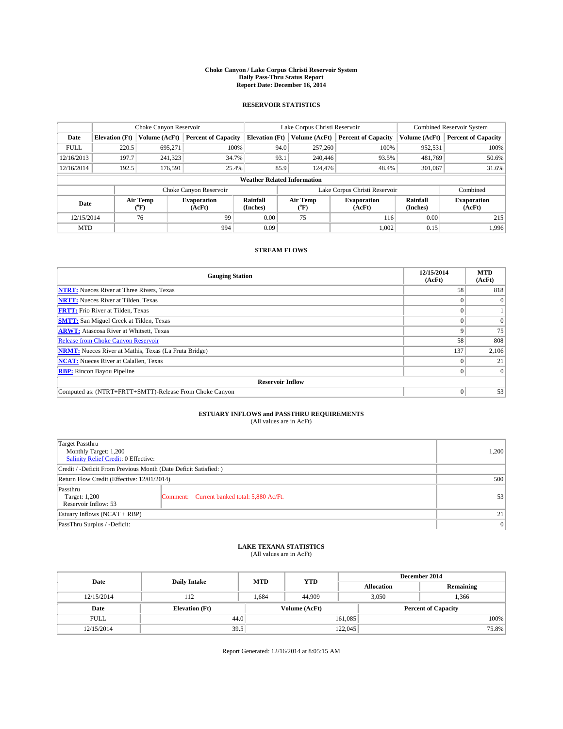#### **Choke Canyon / Lake Corpus Christi Reservoir System Daily Pass-Thru Status Report Report Date: December 16, 2014**

## **RESERVOIR STATISTICS**

|             | Choke Canyon Reservoir |                             |                            |                                    | Lake Corpus Christi Reservoir                    | <b>Combined Reservoir System</b> |                      |                              |
|-------------|------------------------|-----------------------------|----------------------------|------------------------------------|--------------------------------------------------|----------------------------------|----------------------|------------------------------|
| Date        | <b>Elevation</b> (Ft)  | Volume (AcFt)               | <b>Percent of Capacity</b> | <b>Elevation</b> (Ft)              | Volume (AcFt)                                    | <b>Percent of Capacity</b>       | Volume (AcFt)        | <b>Percent of Capacity</b>   |
| <b>FULL</b> | 220.5                  | 695.271                     | 100%                       | 94.0                               | 257,260                                          | 100%                             | 952,531              | 100%                         |
| 12/16/2013  | 197.7                  | 241,323                     | 34.7%                      | 93.1                               | 240,446                                          | 93.5%                            | 481,769              | 50.6%                        |
| 12/16/2014  | 192.5                  | 176,591                     | 25.4%                      | 85.9                               | 124,476                                          | 48.4%                            | 301.067              | 31.6%                        |
|             |                        |                             |                            | <b>Weather Related Information</b> |                                                  |                                  |                      |                              |
|             |                        |                             | Choke Canyon Reservoir     |                                    | Lake Corpus Christi Reservoir                    |                                  |                      |                              |
| Date        |                        | Air Temp<br>${}^{\circ}$ F) | Evaporation<br>(AcFt)      | Rainfall<br>(Inches)               | Air Temp<br><b>Evaporation</b><br>(AcFt)<br>("F) |                                  | Rainfall<br>(Inches) | <b>Evaporation</b><br>(AcFt) |
| 12/15/2014  |                        | 76                          | 99                         | 0.00                               | 75                                               | 116                              | 0.00                 | 215                          |

## **STREAM FLOWS**

 $\text{MTD}$  | 994 994 0.09 | 1,002 0.15 1,996

| <b>Gauging Station</b>                                       | 12/15/2014<br>(AcFt) | <b>MTD</b><br>(AcFt) |  |  |  |  |
|--------------------------------------------------------------|----------------------|----------------------|--|--|--|--|
| <b>NTRT:</b> Nueces River at Three Rivers, Texas             | 58                   | 818                  |  |  |  |  |
| <b>NRTT:</b> Nueces River at Tilden, Texas                   |                      | $\Omega$             |  |  |  |  |
| <b>FRTT:</b> Frio River at Tilden, Texas                     |                      |                      |  |  |  |  |
| <b>SMTT:</b> San Miguel Creek at Tilden, Texas               |                      | $\Omega$             |  |  |  |  |
| <b>ARWT:</b> Atascosa River at Whitsett, Texas               | Q                    | 75                   |  |  |  |  |
| <b>Release from Choke Canyon Reservoir</b>                   | 58                   | 808                  |  |  |  |  |
| <b>NRMT:</b> Nueces River at Mathis, Texas (La Fruta Bridge) | 137                  | 2,106                |  |  |  |  |
| <b>NCAT:</b> Nueces River at Calallen, Texas                 |                      | 21                   |  |  |  |  |
| <b>RBP:</b> Rincon Bayou Pipeline                            | 0                    | $\Omega$             |  |  |  |  |
| <b>Reservoir Inflow</b>                                      |                      |                      |  |  |  |  |
| Computed as: (NTRT+FRTT+SMTT)-Release From Choke Canyon      |                      | 53                   |  |  |  |  |

# **ESTUARY INFLOWS and PASSTHRU REQUIREMENTS**<br>(All values are in AcFt)

| Target Passthru<br>Monthly Target: 1,200<br>Salinity Relief Credit: 0 Effective: |                                             | 1.200 |  |  |  |
|----------------------------------------------------------------------------------|---------------------------------------------|-------|--|--|--|
| Credit / -Deficit From Previous Month (Date Deficit Satisfied: )                 |                                             |       |  |  |  |
| Return Flow Credit (Effective: 12/01/2014)                                       | 500                                         |       |  |  |  |
| Passthru<br>Target: 1,200<br>Reservoir Inflow: 53                                | Comment: Current banked total: 5,880 Ac/Ft. | 53    |  |  |  |
| Estuary Inflows (NCAT + RBP)                                                     | 21 <sup>1</sup>                             |       |  |  |  |
| PassThru Surplus / -Deficit:                                                     | 0                                           |       |  |  |  |

# **LAKE TEXANA STATISTICS** (All values are in AcFt)

| Date        | <b>Daily Intake</b>   | <b>MTD</b> | <b>YTD</b>    | December 2014     |                            |           |  |
|-------------|-----------------------|------------|---------------|-------------------|----------------------------|-----------|--|
|             |                       |            |               | <b>Allocation</b> |                            | Remaining |  |
| 12/15/2014  | 112                   | 1.684      | 44,909        |                   | 3,050<br>1,366             |           |  |
| Date        | <b>Elevation</b> (Ft) |            | Volume (AcFt) |                   | <b>Percent of Capacity</b> |           |  |
| <b>FULL</b> | 44.0                  |            |               | 161,085           |                            | 100%      |  |
| 12/15/2014  | 39.5                  |            |               | 122,045           |                            | 75.8%     |  |

Report Generated: 12/16/2014 at 8:05:15 AM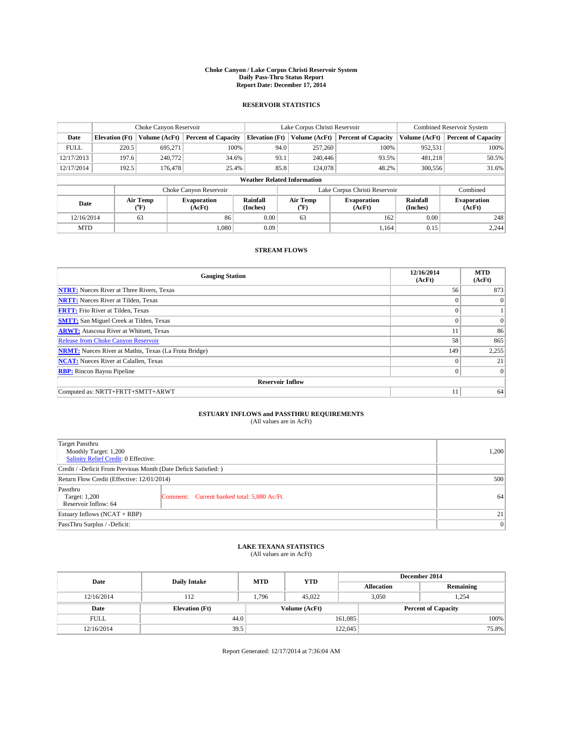#### **Choke Canyon / Lake Corpus Christi Reservoir System Daily Pass-Thru Status Report Report Date: December 17, 2014**

## **RESERVOIR STATISTICS**

|                                                                                  |                       | Choke Canyon Reservoir       |                              |                                    | Lake Corpus Christi Reservoir | Combined Reservoir System     |               |                            |
|----------------------------------------------------------------------------------|-----------------------|------------------------------|------------------------------|------------------------------------|-------------------------------|-------------------------------|---------------|----------------------------|
| Date                                                                             | <b>Elevation</b> (Ft) | Volume (AcFt)                | <b>Percent of Capacity</b>   | <b>Elevation</b> (Ft)              | Volume (AcFt)                 | <b>Percent of Capacity</b>    | Volume (AcFt) | <b>Percent of Capacity</b> |
| <b>FULL</b>                                                                      | 220.5                 | 695.271                      | 100%                         | 94.0                               | 257,260                       | 100%                          | 952,531       | 100%                       |
| 12/17/2013                                                                       | 197.6                 | 240,772                      | 34.6%                        | 93.1                               | 240,446                       | 93.5%                         | 481,218       | 50.5%                      |
| 12/17/2014                                                                       | 192.5                 | 176,478                      | 25.4%                        | 85.8                               | 124,078                       | 48.2%                         | 300,556       | 31.6%                      |
|                                                                                  |                       |                              |                              | <b>Weather Related Information</b> |                               |                               |               |                            |
|                                                                                  |                       |                              | Choke Canyon Reservoir       |                                    |                               | Lake Corpus Christi Reservoir |               | Combined                   |
| Air Temp<br>Rainfall<br><b>Evaporation</b><br>Date<br>(°F)<br>(AcFt)<br>(Inches) |                       | Air Temp<br>$\rm ^{(^o}\!F)$ | <b>Evaporation</b><br>(AcFt) | Rainfall<br>(Inches)               | <b>Evaporation</b><br>(AcFt)  |                               |               |                            |
| 12/16/2014                                                                       |                       | 63                           | 86                           | 0.00                               | 63                            | 162                           | 0.00          | 248                        |
| <b>MTD</b>                                                                       |                       |                              | 1.080                        | 0.09                               |                               | 1,164                         | 0.15          | 2,244                      |

## **STREAM FLOWS**

| <b>Gauging Station</b>                                       | 12/16/2014<br>(AcFt) | <b>MTD</b><br>(AcFt) |  |  |  |  |  |
|--------------------------------------------------------------|----------------------|----------------------|--|--|--|--|--|
| <b>NTRT:</b> Nueces River at Three Rivers, Texas             | 56                   | 873                  |  |  |  |  |  |
| <b>NRTT:</b> Nueces River at Tilden, Texas                   | $\theta$             | $\theta$             |  |  |  |  |  |
| <b>FRTT:</b> Frio River at Tilden, Texas                     |                      |                      |  |  |  |  |  |
| <b>SMTT:</b> San Miguel Creek at Tilden, Texas               | $\theta$             | $\overline{0}$       |  |  |  |  |  |
| <b>ARWT:</b> Atascosa River at Whitsett, Texas               | 11                   | 86                   |  |  |  |  |  |
| <b>Release from Choke Canyon Reservoir</b>                   | 58                   | 865                  |  |  |  |  |  |
| <b>NRMT:</b> Nueces River at Mathis, Texas (La Fruta Bridge) | 149                  | 2,255                |  |  |  |  |  |
| <b>NCAT:</b> Nueces River at Calallen, Texas                 | $\theta$             | 21                   |  |  |  |  |  |
| <b>RBP:</b> Rincon Bayou Pipeline                            | $\Omega$             | $\Omega$             |  |  |  |  |  |
| <b>Reservoir Inflow</b>                                      |                      |                      |  |  |  |  |  |
| Computed as: NRTT+FRTT+SMTT+ARWT                             | 11                   | 64                   |  |  |  |  |  |

# **ESTUARY INFLOWS and PASSTHRU REQUIREMENTS**<br>(All values are in AcFt)

| <b>Target Passthru</b><br>Monthly Target: 1,200<br>Salinity Relief Credit: 0 Effective: |                                             | 1,200 |
|-----------------------------------------------------------------------------------------|---------------------------------------------|-------|
| Credit / -Deficit From Previous Month (Date Deficit Satisfied: )                        |                                             |       |
| Return Flow Credit (Effective: 12/01/2014)                                              | 500                                         |       |
| Passthru<br>Target: 1,200<br>Reservoir Inflow: 64                                       | Comment: Current banked total: 5,880 Ac/Ft. | 64    |
| Estuary Inflows (NCAT + RBP)                                                            | 21                                          |       |
| PassThru Surplus / -Deficit:                                                            | 0                                           |       |

## **LAKE TEXANA STATISTICS** (All values are in AcFt)

| Date        | <b>Daily Intake</b>   | <b>MTD</b> | <b>YTD</b>    | December 2014     |                            |           |       |
|-------------|-----------------------|------------|---------------|-------------------|----------------------------|-----------|-------|
|             |                       |            |               | <b>Allocation</b> |                            | Remaining |       |
| 12/16/2014  | 112                   | 1,796      | 45,022        |                   | 3,050<br>1,254             |           |       |
| Date        | <b>Elevation</b> (Ft) |            | Volume (AcFt) |                   | <b>Percent of Capacity</b> |           |       |
| <b>FULL</b> | 44.0                  |            |               | 161,085           |                            |           | 100%  |
| 12/16/2014  | 39.5                  |            |               | 122,045           |                            |           | 75.8% |

Report Generated: 12/17/2014 at 7:36:04 AM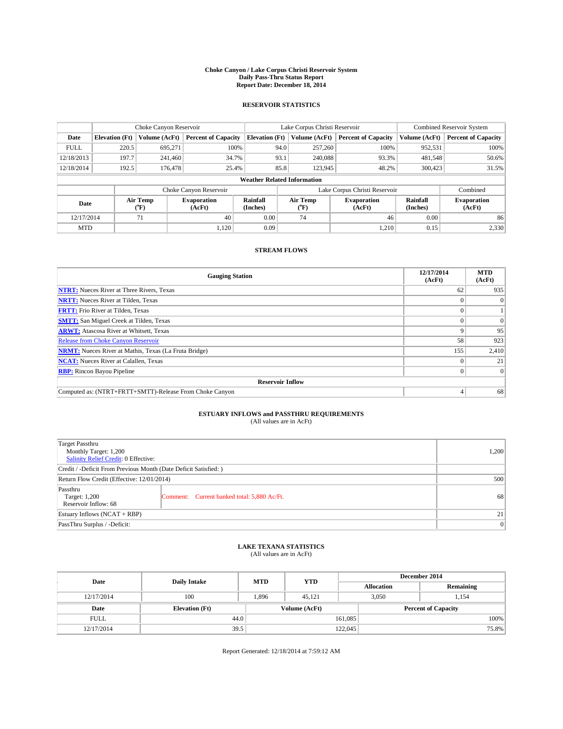#### **Choke Canyon / Lake Corpus Christi Reservoir System Daily Pass-Thru Status Report Report Date: December 18, 2014**

## **RESERVOIR STATISTICS**

|             | Choke Canyon Reservoir                                                                               |               |                              |                                    | Lake Corpus Christi Reservoir | <b>Combined Reservoir System</b> |               |                            |
|-------------|------------------------------------------------------------------------------------------------------|---------------|------------------------------|------------------------------------|-------------------------------|----------------------------------|---------------|----------------------------|
| Date        | <b>Elevation</b> (Ft)                                                                                | Volume (AcFt) | <b>Percent of Capacity</b>   | <b>Elevation</b> (Ft)              | Volume (AcFt)                 | <b>Percent of Capacity</b>       | Volume (AcFt) | <b>Percent of Capacity</b> |
| <b>FULL</b> | 220.5                                                                                                | 695.271       | 100%                         | 94.0                               | 257,260                       | 100%                             | 952,531       | 100%                       |
| 12/18/2013  | 197.7                                                                                                | 241.460       | 34.7%                        | 93.1                               | 240,088                       | 93.3%                            | 481,548       | 50.6%                      |
| 12/18/2014  | 192.5                                                                                                | 176,478       | 25.4%                        | 85.8                               | 123,945                       | 48.2%                            | 300,423       | 31.5%                      |
|             |                                                                                                      |               |                              | <b>Weather Related Information</b> |                               |                                  |               |                            |
|             |                                                                                                      |               | Choke Canyon Reservoir       |                                    |                               | Lake Corpus Christi Reservoir    |               | Combined                   |
|             | Rainfall<br>Air Temp<br>Air Temp<br><b>Evaporation</b><br>Date<br>(Inches)<br>(°F)<br>(AcFt)<br>(°F) |               | <b>Evaporation</b><br>(AcFt) | Rainfall<br>(Inches)               | <b>Evaporation</b><br>(AcFt)  |                                  |               |                            |
| 12/17/2014  |                                                                                                      | 40<br>71      |                              | 0.00                               | 74                            | 46                               | 0.00          | 86                         |
| <b>MTD</b>  |                                                                                                      |               | 1,120                        | 0.09                               |                               | 1,210                            | 0.15          | 2,330                      |

## **STREAM FLOWS**

| <b>Gauging Station</b>                                       | 12/17/2014<br>(AcFt) | <b>MTD</b><br>(AcFt) |  |  |  |  |
|--------------------------------------------------------------|----------------------|----------------------|--|--|--|--|
| <b>NTRT:</b> Nueces River at Three Rivers, Texas             | 62                   | 935                  |  |  |  |  |
| <b>NRTT:</b> Nueces River at Tilden, Texas                   |                      | $\theta$             |  |  |  |  |
| <b>FRTT:</b> Frio River at Tilden, Texas                     |                      |                      |  |  |  |  |
| <b>SMTT:</b> San Miguel Creek at Tilden, Texas               |                      | $\Omega$             |  |  |  |  |
| <b>ARWT:</b> Atascosa River at Whitsett, Texas               | Q                    | 95                   |  |  |  |  |
| <b>Release from Choke Canyon Reservoir</b>                   | 58                   | 923                  |  |  |  |  |
| <b>NRMT:</b> Nueces River at Mathis, Texas (La Fruta Bridge) | 155                  | 2,410                |  |  |  |  |
| <b>NCAT:</b> Nueces River at Calallen, Texas                 |                      | 21                   |  |  |  |  |
| <b>RBP:</b> Rincon Bayou Pipeline                            | 0                    | $\Omega$             |  |  |  |  |
| <b>Reservoir Inflow</b>                                      |                      |                      |  |  |  |  |
| Computed as: (NTRT+FRTT+SMTT)-Release From Choke Canyon      |                      | 68                   |  |  |  |  |

# **ESTUARY INFLOWS and PASSTHRU REQUIREMENTS**<br>(All values are in AcFt)

| Target Passthru<br>Monthly Target: 1,200<br>Salinity Relief Credit: 0 Effective: | 1,200                                       |    |
|----------------------------------------------------------------------------------|---------------------------------------------|----|
| Credit / -Deficit From Previous Month (Date Deficit Satisfied: )                 |                                             |    |
| Return Flow Credit (Effective: 12/01/2014)                                       | 500                                         |    |
| Passthru<br>Target: 1,200<br>Reservoir Inflow: 68                                | Comment: Current banked total: 5,880 Ac/Ft. | 68 |
| Estuary Inflows (NCAT + RBP)                                                     | 21                                          |    |
| PassThru Surplus / -Deficit:                                                     | 0                                           |    |

# **LAKE TEXANA STATISTICS** (All values are in AcFt)

| Date        | <b>Daily Intake</b>   | <b>MTD</b> | <b>YTD</b>    | December 2014     |                            |           |  |
|-------------|-----------------------|------------|---------------|-------------------|----------------------------|-----------|--|
|             |                       |            |               | <b>Allocation</b> |                            | Remaining |  |
| 12/17/2014  | 100                   | 1,896      | 45.121        |                   | 3,050                      | 1,154     |  |
| Date        | <b>Elevation</b> (Ft) |            | Volume (AcFt) |                   | <b>Percent of Capacity</b> |           |  |
| <b>FULL</b> | 44.0                  |            |               | 161,085           |                            | 100%      |  |
| 12/17/2014  | 39.5                  |            |               | 122,045           |                            | 75.8%     |  |

Report Generated: 12/18/2014 at 7:59:12 AM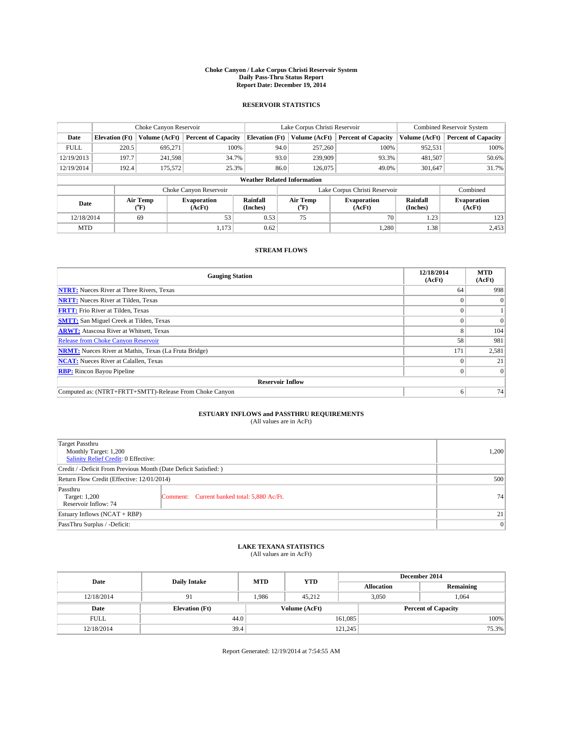#### **Choke Canyon / Lake Corpus Christi Reservoir System Daily Pass-Thru Status Report Report Date: December 19, 2014**

## **RESERVOIR STATISTICS**

|             |                                    | Choke Canyon Reservoir |                              |                       | Lake Corpus Christi Reservoir | Combined Reservoir System     |                      |                              |  |  |
|-------------|------------------------------------|------------------------|------------------------------|-----------------------|-------------------------------|-------------------------------|----------------------|------------------------------|--|--|
| Date        | <b>Elevation</b> (Ft)              | Volume (AcFt)          | <b>Percent of Capacity</b>   | <b>Elevation</b> (Ft) | Volume (AcFt)                 | <b>Percent of Capacity</b>    | Volume (AcFt)        | <b>Percent of Capacity</b>   |  |  |
| <b>FULL</b> | 220.5                              | 695,271                | 100%                         | 94.0                  | 257,260                       | 100%                          | 952,531              | 100%                         |  |  |
| 12/19/2013  | 197.7                              | 241,598                | 34.7%                        | 93.0                  | 239,909                       | 93.3%                         | 481,507              | 50.6%                        |  |  |
| 12/19/2014  | 192.4                              | 175,572                | 25.3%                        | 86.0                  | 126,075                       | 49.0%                         | 301,647              | 31.7%                        |  |  |
|             | <b>Weather Related Information</b> |                        |                              |                       |                               |                               |                      |                              |  |  |
|             |                                    |                        | Choke Canyon Reservoir       |                       |                               | Lake Corpus Christi Reservoir |                      | Combined                     |  |  |
| Date        |                                    | Air Temp<br>(°F)       | <b>Evaporation</b><br>(AcFt) | Rainfall<br>(Inches)  | Air Temp<br>("F)              | <b>Evaporation</b><br>(AcFt)  | Rainfall<br>(Inches) | <b>Evaporation</b><br>(AcFt) |  |  |
|             | 12/18/2014<br>69                   |                        | 53                           | 0.53                  | 75                            | 70                            | 1.23                 | 123                          |  |  |
| <b>MTD</b>  |                                    |                        | 1,173                        | 0.62                  |                               | 1,280                         | 1.38                 | 2,453                        |  |  |

## **STREAM FLOWS**

| <b>Gauging Station</b>                                       | 12/18/2014<br>(AcFt) | <b>MTD</b><br>(AcFt) |  |  |  |  |
|--------------------------------------------------------------|----------------------|----------------------|--|--|--|--|
| <b>NTRT:</b> Nueces River at Three Rivers, Texas             | 64                   | 998                  |  |  |  |  |
| <b>NRTT:</b> Nueces River at Tilden, Texas                   |                      | $\theta$             |  |  |  |  |
| <b>FRTT:</b> Frio River at Tilden, Texas                     |                      |                      |  |  |  |  |
| <b>SMTT:</b> San Miguel Creek at Tilden, Texas               |                      | $\Omega$             |  |  |  |  |
| <b>ARWT:</b> Atascosa River at Whitsett, Texas               | 8                    | 104                  |  |  |  |  |
| <b>Release from Choke Canyon Reservoir</b>                   | 58                   | 981                  |  |  |  |  |
| <b>NRMT:</b> Nueces River at Mathis, Texas (La Fruta Bridge) | 171                  | 2,581                |  |  |  |  |
| <b>NCAT:</b> Nueces River at Calallen, Texas                 |                      | 21                   |  |  |  |  |
| <b>RBP:</b> Rincon Bayou Pipeline                            | 0                    | $\Omega$             |  |  |  |  |
| <b>Reservoir Inflow</b>                                      |                      |                      |  |  |  |  |
| Computed as: (NTRT+FRTT+SMTT)-Release From Choke Canyon      | o                    | 74                   |  |  |  |  |

# **ESTUARY INFLOWS and PASSTHRU REQUIREMENTS**<br>(All values are in AcFt)

| Target Passthru<br>Monthly Target: 1,200<br>Salinity Relief Credit: 0 Effective: | 1.200                                       |     |
|----------------------------------------------------------------------------------|---------------------------------------------|-----|
| Credit / -Deficit From Previous Month (Date Deficit Satisfied: )                 |                                             |     |
| Return Flow Credit (Effective: 12/01/2014)                                       |                                             | 500 |
| Passthru<br>Target: 1,200<br>Reservoir Inflow: 74                                | Comment: Current banked total: 5,880 Ac/Ft. | 74  |
| Estuary Inflows (NCAT + RBP)                                                     | 21 <sup>1</sup>                             |     |
| PassThru Surplus / -Deficit:                                                     | 0                                           |     |

# **LAKE TEXANA STATISTICS** (All values are in AcFt)

| Date        | <b>Daily Intake</b>   | <b>MTD</b> | <b>YTD</b>    | December 2014 |                            |           |  |
|-------------|-----------------------|------------|---------------|---------------|----------------------------|-----------|--|
|             |                       |            |               |               | <b>Allocation</b>          | Remaining |  |
| 12/18/2014  | 91                    | 1.986      | 45.212        |               | 3,050<br>1,064             |           |  |
| Date        | <b>Elevation</b> (Ft) |            | Volume (AcFt) |               | <b>Percent of Capacity</b> |           |  |
| <b>FULL</b> |                       | 44.0       |               | 161,085       |                            | 100%      |  |
| 12/18/2014  | 39.4                  |            |               | 121,245       |                            | 75.3%     |  |

Report Generated: 12/19/2014 at 7:54:55 AM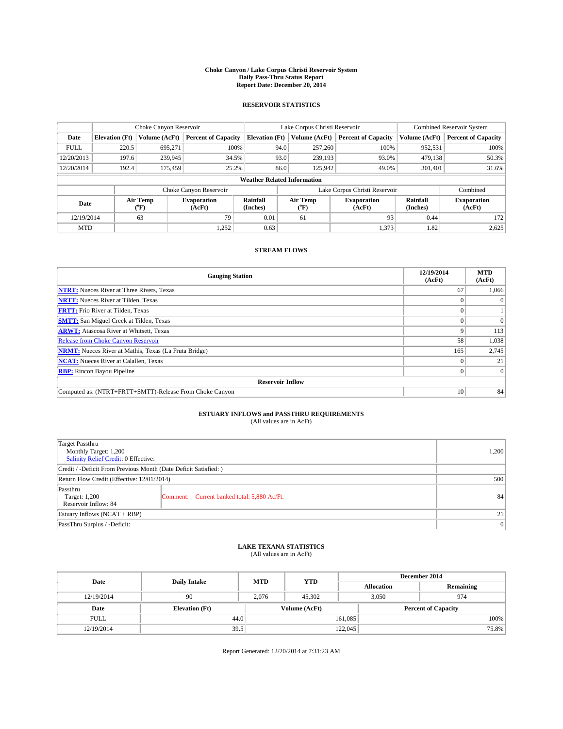#### **Choke Canyon / Lake Corpus Christi Reservoir System Daily Pass-Thru Status Report Report Date: December 20, 2014**

## **RESERVOIR STATISTICS**

|             | Choke Canyon Reservoir |                             |                              |                                    | Lake Corpus Christi Reservoir | Combined Reservoir System  |                      |                              |
|-------------|------------------------|-----------------------------|------------------------------|------------------------------------|-------------------------------|----------------------------|----------------------|------------------------------|
| Date        | <b>Elevation</b> (Ft)  | Volume (AcFt)               | <b>Percent of Capacity</b>   | <b>Elevation</b> (Ft)              | Volume (AcFt)                 | <b>Percent of Capacity</b> | Volume (AcFt)        | <b>Percent of Capacity</b>   |
| <b>FULL</b> | 220.5                  | 695,271                     | 100%                         | 94.0                               | 257,260                       | 100%                       | 952,531              | 100%                         |
| 12/20/2013  | 197.6                  | 239,945                     | 34.5%                        | 93.0                               | 239,193                       | 93.0%                      | 479,138              | 50.3%                        |
| 12/20/2014  | 192.4                  | 175,459                     | 25.2%                        | 86.0                               | 125,942                       | 49.0%                      | 301,401              | 31.6%                        |
|             |                        |                             |                              | <b>Weather Related Information</b> |                               |                            |                      |                              |
|             |                        |                             | Choke Canyon Reservoir       |                                    | Lake Corpus Christi Reservoir |                            |                      |                              |
| Date        |                        | Air Temp<br>${}^{\circ}$ F) | <b>Evaporation</b><br>(AcFt) | Rainfall<br>(Inches)               | Air Temp<br>("F)              | Evaporation<br>(AcFt)      | Rainfall<br>(Inches) | <b>Evaporation</b><br>(AcFt) |
| 12/19/2014  |                        | 63                          | 79                           | 0.01                               | 61                            | 93                         | 0.44                 | 172                          |

## **STREAM FLOWS**

MTD  $|$  1,252 0.63 1,373 1.82 2,625

| <b>Gauging Station</b>                                       | 12/19/2014<br>(AcFt) | <b>MTD</b><br>(AcFt) |  |  |  |  |
|--------------------------------------------------------------|----------------------|----------------------|--|--|--|--|
| <b>NTRT:</b> Nueces River at Three Rivers, Texas             | 67                   | 1,066                |  |  |  |  |
| <b>NRTT:</b> Nueces River at Tilden, Texas                   |                      | $\theta$             |  |  |  |  |
| <b>FRTT:</b> Frio River at Tilden, Texas                     |                      |                      |  |  |  |  |
| <b>SMTT:</b> San Miguel Creek at Tilden, Texas               |                      | $\Omega$             |  |  |  |  |
| <b>ARWT:</b> Atascosa River at Whitsett, Texas               | Q                    | 113                  |  |  |  |  |
| <b>Release from Choke Canyon Reservoir</b>                   | 58                   | 1,038                |  |  |  |  |
| <b>NRMT:</b> Nueces River at Mathis, Texas (La Fruta Bridge) | 165                  | 2,745                |  |  |  |  |
| <b>NCAT:</b> Nueces River at Calallen, Texas                 |                      | 21                   |  |  |  |  |
| <b>RBP:</b> Rincon Bayou Pipeline                            | 0                    | $\Omega$             |  |  |  |  |
| <b>Reservoir Inflow</b>                                      |                      |                      |  |  |  |  |
| Computed as: (NTRT+FRTT+SMTT)-Release From Choke Canyon      | 10                   | 84                   |  |  |  |  |

# **ESTUARY INFLOWS and PASSTHRU REQUIREMENTS**<br>(All values are in AcFt)

| Target Passthru<br>Monthly Target: 1,200<br>Salinity Relief Credit: 0 Effective: |                                             |     |
|----------------------------------------------------------------------------------|---------------------------------------------|-----|
| Credit / -Deficit From Previous Month (Date Deficit Satisfied: )                 |                                             |     |
| Return Flow Credit (Effective: 12/01/2014)                                       |                                             | 500 |
| Passthru<br>Target: 1,200<br>Reservoir Inflow: 84                                | Comment: Current banked total: 5,880 Ac/Ft. | 84  |
| Estuary Inflows (NCAT + RBP)                                                     | 21 <sup>1</sup>                             |     |
| PassThru Surplus / -Deficit:                                                     | 0                                           |     |

# **LAKE TEXANA STATISTICS** (All values are in AcFt)

| Date        | <b>Daily Intake</b>   | <b>MTD</b> | <b>YTD</b>    | December 2014 |                            |           |  |
|-------------|-----------------------|------------|---------------|---------------|----------------------------|-----------|--|
|             |                       |            |               |               | <b>Allocation</b>          | Remaining |  |
| 12/19/2014  | 90                    | 2.076      | 45.302        |               | 3,050<br>974               |           |  |
| Date        | <b>Elevation</b> (Ft) |            | Volume (AcFt) |               | <b>Percent of Capacity</b> |           |  |
| <b>FULL</b> | 44.0                  |            |               | 161,085       |                            | 100%      |  |
| 12/19/2014  | 39.5                  |            |               | 122,045       |                            | 75.8%     |  |

Report Generated: 12/20/2014 at 7:31:23 AM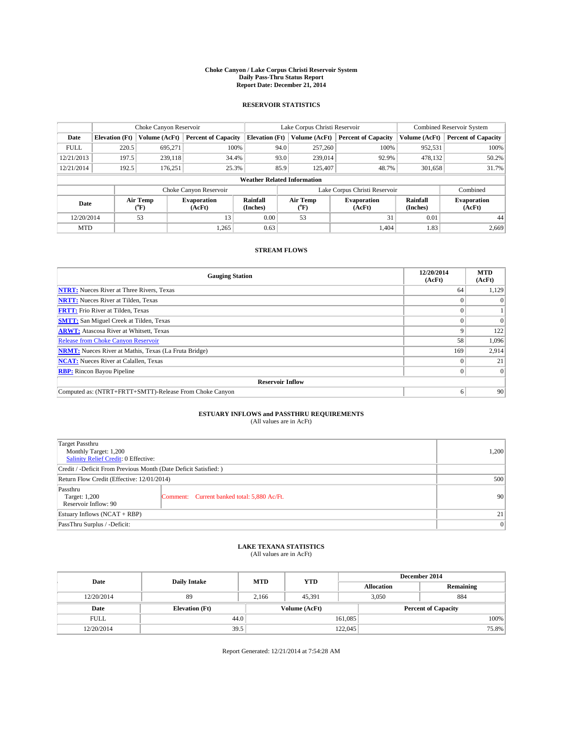#### **Choke Canyon / Lake Corpus Christi Reservoir System Daily Pass-Thru Status Report Report Date: December 21, 2014**

## **RESERVOIR STATISTICS**

|             |                                    | Choke Canyon Reservoir |                              |                       | Lake Corpus Christi Reservoir | Combined Reservoir System    |                      |                              |  |  |
|-------------|------------------------------------|------------------------|------------------------------|-----------------------|-------------------------------|------------------------------|----------------------|------------------------------|--|--|
| Date        | <b>Elevation</b> (Ft)              | Volume (AcFt)          | <b>Percent of Capacity</b>   | <b>Elevation</b> (Ft) | Volume (AcFt)                 | <b>Percent of Capacity</b>   | Volume (AcFt)        | <b>Percent of Capacity</b>   |  |  |
| <b>FULL</b> | 220.5                              | 695,271                | 100%                         | 94.0                  | 257,260                       | 100%                         | 952,531              | 100%                         |  |  |
| 12/21/2013  | 197.5                              | 239.118                | 34.4%                        | 93.0                  | 239,014                       | 92.9%                        | 478,132              | 50.2%                        |  |  |
| 12/21/2014  | 192.5                              | 176,251                | 25.3%                        | 85.9                  | 125,407                       | 48.7%                        | 301,658              | 31.7%                        |  |  |
|             | <b>Weather Related Information</b> |                        |                              |                       |                               |                              |                      |                              |  |  |
|             |                                    |                        | Choke Canyon Reservoir       |                       | Lake Corpus Christi Reservoir | Combined                     |                      |                              |  |  |
| Date        |                                    | Air Temp<br>(°F)       | <b>Evaporation</b><br>(AcFt) | Rainfall<br>(Inches)  | Air Temp<br>("F)              | <b>Evaporation</b><br>(AcFt) | Rainfall<br>(Inches) | <b>Evaporation</b><br>(AcFt) |  |  |
|             | 53<br>12/20/2014                   |                        | 13                           | 0.00                  | 53                            | 31                           | 0.01                 | 44                           |  |  |
| <b>MTD</b>  |                                    |                        | 1,265                        | 0.63                  |                               | 1.404                        | 1.83'                | 2.669                        |  |  |

## **STREAM FLOWS**

| <b>Gauging Station</b>                                       | 12/20/2014<br>(AcFt) | <b>MTD</b><br>(AcFt) |  |  |  |  |
|--------------------------------------------------------------|----------------------|----------------------|--|--|--|--|
| <b>NTRT:</b> Nueces River at Three Rivers, Texas             | 64                   | 1,129                |  |  |  |  |
| <b>NRTT:</b> Nueces River at Tilden, Texas                   |                      | $\Omega$             |  |  |  |  |
| <b>FRTT:</b> Frio River at Tilden, Texas                     |                      |                      |  |  |  |  |
| <b>SMTT:</b> San Miguel Creek at Tilden, Texas               |                      | $\Omega$             |  |  |  |  |
| <b>ARWT:</b> Atascosa River at Whitsett, Texas               | Q                    | 122                  |  |  |  |  |
| <b>Release from Choke Canyon Reservoir</b>                   | 58                   | 1,096                |  |  |  |  |
| <b>NRMT:</b> Nueces River at Mathis, Texas (La Fruta Bridge) | 169                  | 2,914                |  |  |  |  |
| <b>NCAT:</b> Nueces River at Calallen, Texas                 |                      | 21                   |  |  |  |  |
| <b>RBP:</b> Rincon Bayou Pipeline                            | 0 <sup>1</sup>       | $\overline{0}$       |  |  |  |  |
| <b>Reservoir Inflow</b>                                      |                      |                      |  |  |  |  |
| Computed as: (NTRT+FRTT+SMTT)-Release From Choke Canyon      | 6                    | 90                   |  |  |  |  |

## **ESTUARY INFLOWS and PASSTHRU REQUIREMENTS**<br>(All values are in AcFt)

| Target Passthru<br>Monthly Target: 1,200<br>Salinity Relief Credit: 0 Effective: | 1,200                                       |     |
|----------------------------------------------------------------------------------|---------------------------------------------|-----|
| Credit / -Deficit From Previous Month (Date Deficit Satisfied: )                 |                                             |     |
| Return Flow Credit (Effective: 12/01/2014)                                       |                                             | 500 |
| Passthru<br>Target: 1,200<br>Reservoir Inflow: 90                                | Comment: Current banked total: 5,880 Ac/Ft. | 90  |
| Estuary Inflows (NCAT + RBP)                                                     |                                             | 21  |
| PassThru Surplus / -Deficit:                                                     | 0                                           |     |

## **LAKE TEXANA STATISTICS** (All values are in AcFt)

| Date        | <b>Daily Intake</b>   | <b>MTD</b> | <b>YTD</b>    | December 2014     |                            |  |  |
|-------------|-----------------------|------------|---------------|-------------------|----------------------------|--|--|
|             |                       |            |               | <b>Allocation</b> | Remaining                  |  |  |
| 12/20/2014  | 89                    | 2.166      | 45.391        | 3.050             | 884                        |  |  |
| Date        | <b>Elevation</b> (Ft) |            | Volume (AcFt) |                   | <b>Percent of Capacity</b> |  |  |
| <b>FULL</b> | 44.0                  |            |               | 161,085           | 100%                       |  |  |
| 12/20/2014  | 39.5                  |            |               | 122,045           | 75.8%                      |  |  |

Report Generated: 12/21/2014 at 7:54:28 AM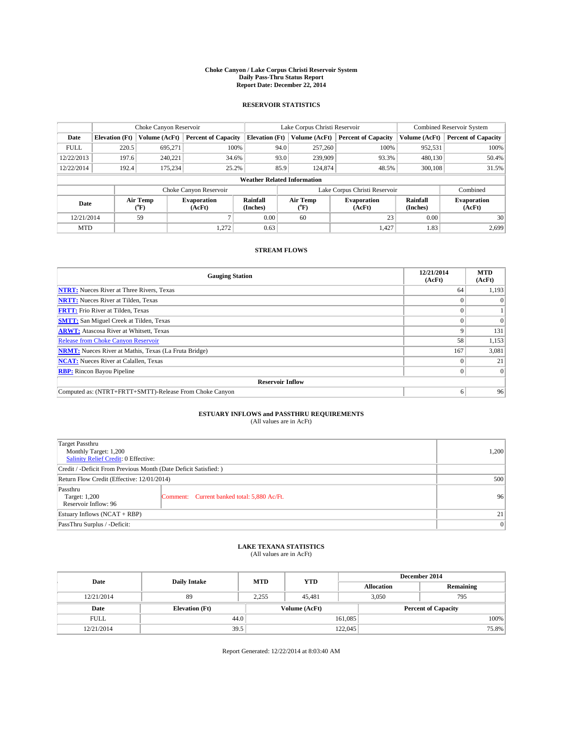#### **Choke Canyon / Lake Corpus Christi Reservoir System Daily Pass-Thru Status Report Report Date: December 22, 2014**

## **RESERVOIR STATISTICS**

|                                                          |                                    | Choke Canyon Reservoir |                            |                              | Lake Corpus Christi Reservoir | Combined Reservoir System     |               |                            |  |
|----------------------------------------------------------|------------------------------------|------------------------|----------------------------|------------------------------|-------------------------------|-------------------------------|---------------|----------------------------|--|
| Date                                                     | <b>Elevation</b> (Ft)              | Volume (AcFt)          | <b>Percent of Capacity</b> | <b>Elevation</b> (Ft)        | Volume (AcFt)                 | <b>Percent of Capacity</b>    | Volume (AcFt) | <b>Percent of Capacity</b> |  |
| <b>FULL</b>                                              | 220.5                              | 695.271                | 100%                       | 94.0                         | 257,260                       | 100%                          | 952,531       | 100%                       |  |
| 12/22/2013                                               | 197.6                              | 240,221                | 34.6%                      | 93.0                         | 239,909                       | 93.3%                         | 480,130       | 50.4%                      |  |
| 12/22/2014                                               | 192.4                              | 175.234                | 25.2%                      | 85.9                         | 124,874                       | 48.5%                         | 300,108       | 31.5%                      |  |
|                                                          | <b>Weather Related Information</b> |                        |                            |                              |                               |                               |               |                            |  |
|                                                          |                                    |                        | Choke Canyon Reservoir     |                              |                               | Lake Corpus Christi Reservoir |               | Combined                   |  |
| Air Temp<br><b>Evaporation</b><br>Date<br>(°F)<br>(AcFt) |                                    | Rainfall<br>(Inches)   | Air Temp<br>(°F)           | <b>Evaporation</b><br>(AcFt) | Rainfall<br>(Inches)          | <b>Evaporation</b><br>(AcFt)  |               |                            |  |
| 12/21/2014                                               | 59                                 |                        | 0.00                       | 60                           | 23                            | 0.00                          | 30            |                            |  |
| <b>MTD</b>                                               |                                    |                        | 1,272                      | 0.63                         |                               | 1,427                         | 1.83          | 2,699                      |  |

## **STREAM FLOWS**

| <b>Gauging Station</b>                                       | 12/21/2014<br>(AcFt) | <b>MTD</b><br>(AcFt) |  |  |  |  |
|--------------------------------------------------------------|----------------------|----------------------|--|--|--|--|
| <b>NTRT:</b> Nueces River at Three Rivers, Texas             | 64                   | 1,193                |  |  |  |  |
| <b>NRTT:</b> Nueces River at Tilden, Texas                   |                      | $\theta$             |  |  |  |  |
| <b>FRTT:</b> Frio River at Tilden, Texas                     |                      |                      |  |  |  |  |
| <b>SMTT:</b> San Miguel Creek at Tilden, Texas               |                      | $\Omega$             |  |  |  |  |
| <b>ARWT:</b> Atascosa River at Whitsett, Texas               | Q                    | 131                  |  |  |  |  |
| <b>Release from Choke Canyon Reservoir</b>                   | 58                   | 1,153                |  |  |  |  |
| <b>NRMT:</b> Nueces River at Mathis, Texas (La Fruta Bridge) | 167                  | 3,081                |  |  |  |  |
| <b>NCAT:</b> Nueces River at Calallen, Texas                 |                      | 21                   |  |  |  |  |
| <b>RBP:</b> Rincon Bayou Pipeline                            | 0                    | $\Omega$             |  |  |  |  |
| <b>Reservoir Inflow</b>                                      |                      |                      |  |  |  |  |
| Computed as: (NTRT+FRTT+SMTT)-Release From Choke Canyon      | o                    | 96                   |  |  |  |  |

# **ESTUARY INFLOWS and PASSTHRU REQUIREMENTS**<br>(All values are in AcFt)

| Target Passthru<br>Monthly Target: 1,200<br>Salinity Relief Credit: 0 Effective: | 1,200                                       |    |
|----------------------------------------------------------------------------------|---------------------------------------------|----|
| Credit / -Deficit From Previous Month (Date Deficit Satisfied: )                 |                                             |    |
| Return Flow Credit (Effective: 12/01/2014)                                       | 500                                         |    |
| Passthru<br>Target: 1,200<br>Reservoir Inflow: 96                                | Comment: Current banked total: 5,880 Ac/Ft. | 96 |
| Estuary Inflows (NCAT + RBP)                                                     | 21                                          |    |
| PassThru Surplus / -Deficit:                                                     | 0                                           |    |

# **LAKE TEXANA STATISTICS** (All values are in AcFt)

| Date        | <b>Daily Intake</b>   | <b>MTD</b>    | <b>YTD</b> | December 2014     |                            |  |  |
|-------------|-----------------------|---------------|------------|-------------------|----------------------------|--|--|
|             |                       |               |            | <b>Allocation</b> | Remaining                  |  |  |
| 12/21/2014  | 89                    | 2.255         | 45.481     | 3.050             | 795                        |  |  |
| Date        | <b>Elevation</b> (Ft) | Volume (AcFt) |            |                   | <b>Percent of Capacity</b> |  |  |
| <b>FULL</b> | 44.0                  |               |            | 161,085           | 100%                       |  |  |
| 12/21/2014  | 39.5                  |               | 122,045    | 75.8%             |                            |  |  |

Report Generated: 12/22/2014 at 8:03:40 AM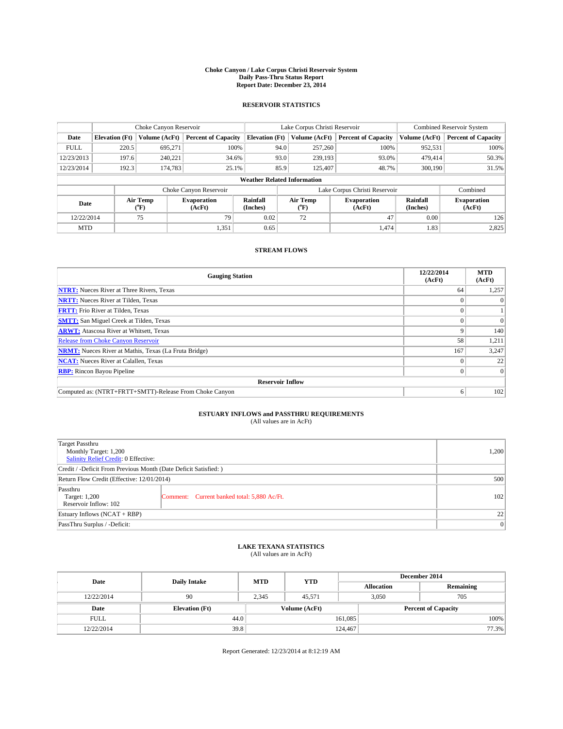#### **Choke Canyon / Lake Corpus Christi Reservoir System Daily Pass-Thru Status Report Report Date: December 23, 2014**

## **RESERVOIR STATISTICS**

|                                    |                       | Choke Canyon Reservoir |                            |                       | Lake Corpus Christi Reservoir | <b>Combined Reservoir System</b> |                      |                              |
|------------------------------------|-----------------------|------------------------|----------------------------|-----------------------|-------------------------------|----------------------------------|----------------------|------------------------------|
| Date                               | <b>Elevation</b> (Ft) | Volume (AcFt)          | <b>Percent of Capacity</b> | <b>Elevation</b> (Ft) | Volume (AcFt)                 | <b>Percent of Capacity</b>       | Volume (AcFt)        | <b>Percent of Capacity</b>   |
| <b>FULL</b>                        | 220.5                 | 695,271                | 100%                       | 94.0                  | 257,260                       | 100%                             | 952,531              | 100%                         |
| 12/23/2013                         | 197.6                 | 240,221                | 34.6%                      | 93.0                  | 239,193                       | 93.0%                            | 479,414              | 50.3%                        |
| 12/23/2014                         | 192.3                 | 174,783                | 25.1%                      | 85.9                  | 125,407                       | 48.7%                            | 300,190              | 31.5%                        |
| <b>Weather Related Information</b> |                       |                        |                            |                       |                               |                                  |                      |                              |
|                                    |                       |                        | Choke Canyon Reservoir     |                       |                               | Lake Corpus Christi Reservoir    |                      | Combined                     |
| Date                               |                       | Air Temp<br>("F)       | Evaporation<br>(AcFt)      | Rainfall<br>(Inches)  | Air Temp<br>("F)              | <b>Evaporation</b><br>(AcFt)     | Rainfall<br>(Inches) | <b>Evaporation</b><br>(AcFt) |
| 12/22/2014                         |                       | 75                     | 79                         | 0.02                  | 72                            | 47                               | 0.00                 | 126                          |

## **STREAM FLOWS**

MTD  $|$  1,351 0.65 1,474 1.83 2,825

| <b>Gauging Station</b>                                       | 12/22/2014<br>(AcFt) | <b>MTD</b><br>(AcFt) |  |  |  |  |
|--------------------------------------------------------------|----------------------|----------------------|--|--|--|--|
| <b>NTRT:</b> Nueces River at Three Rivers, Texas             | 64                   | 1,257                |  |  |  |  |
| <b>NRTT:</b> Nueces River at Tilden, Texas                   |                      |                      |  |  |  |  |
| <b>FRTT:</b> Frio River at Tilden, Texas                     |                      |                      |  |  |  |  |
| <b>SMTT:</b> San Miguel Creek at Tilden, Texas               |                      | $\overline{0}$       |  |  |  |  |
| <b>ARWT:</b> Atascosa River at Whitsett, Texas               | o                    | 140                  |  |  |  |  |
| <b>Release from Choke Canyon Reservoir</b>                   | 58                   | 1,211                |  |  |  |  |
| <b>NRMT:</b> Nueces River at Mathis, Texas (La Fruta Bridge) | 167                  | 3,247                |  |  |  |  |
| <b>NCAT:</b> Nueces River at Calallen, Texas                 |                      | 22                   |  |  |  |  |
| <b>RBP:</b> Rincon Bayou Pipeline                            |                      | $\Omega$             |  |  |  |  |
| <b>Reservoir Inflow</b>                                      |                      |                      |  |  |  |  |
| Computed as: (NTRT+FRTT+SMTT)-Release From Choke Canyon      | 6                    | 102                  |  |  |  |  |

# **ESTUARY INFLOWS and PASSTHRU REQUIREMENTS**<br>(All values are in AcFt)

| Target Passthru<br>Monthly Target: 1,200<br>Salinity Relief Credit: 0 Effective: | 1.200                                       |     |
|----------------------------------------------------------------------------------|---------------------------------------------|-----|
| Credit / -Deficit From Previous Month (Date Deficit Satisfied: )                 |                                             |     |
| Return Flow Credit (Effective: 12/01/2014)                                       | 500                                         |     |
| Passthru<br>Target: 1,200<br>Reservoir Inflow: 102                               | Comment: Current banked total: 5,880 Ac/Ft. | 102 |
| Estuary Inflows (NCAT + RBP)                                                     | 22                                          |     |
| PassThru Surplus / -Deficit:                                                     | 0                                           |     |

## **LAKE TEXANA STATISTICS** (All values are in AcFt)

| Date        | <b>Daily Intake</b>   | <b>MTD</b> | <b>YTD</b>    | December 2014     |                            |           |  |
|-------------|-----------------------|------------|---------------|-------------------|----------------------------|-----------|--|
|             |                       |            |               | <b>Allocation</b> |                            | Remaining |  |
| 12/22/2014  | 90                    | 2.345      | 45.571        |                   | 705<br>3,050               |           |  |
| Date        | <b>Elevation</b> (Ft) |            | Volume (AcFt) |                   | <b>Percent of Capacity</b> |           |  |
| <b>FULL</b> | 44.0                  |            |               | 161,085           |                            | 100%      |  |
| 12/22/2014  | 39.8                  |            |               | 124,467           |                            | 77.3%     |  |

Report Generated: 12/23/2014 at 8:12:19 AM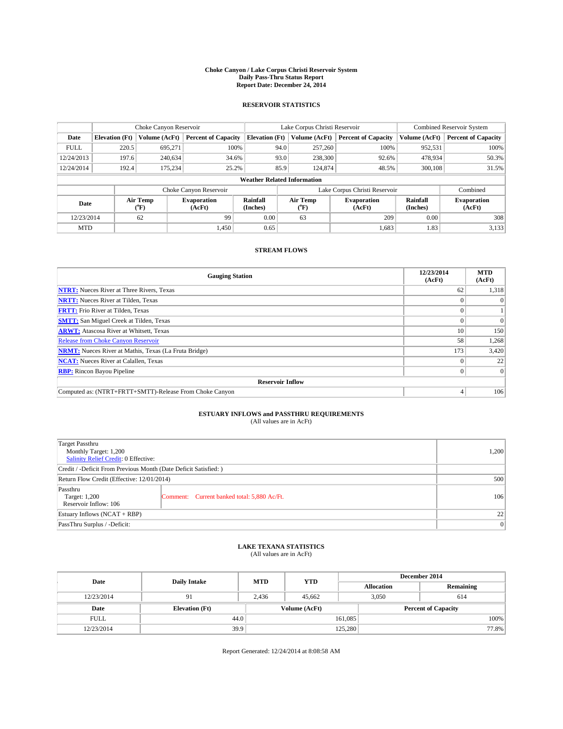#### **Choke Canyon / Lake Corpus Christi Reservoir System Daily Pass-Thru Status Report Report Date: December 24, 2014**

## **RESERVOIR STATISTICS**

|                                    | Choke Canyon Reservoir |                  |                              |                       | Lake Corpus Christi Reservoir | <b>Combined Reservoir System</b> |                      |                              |
|------------------------------------|------------------------|------------------|------------------------------|-----------------------|-------------------------------|----------------------------------|----------------------|------------------------------|
| Date                               | <b>Elevation</b> (Ft)  | Volume (AcFt)    | <b>Percent of Capacity</b>   | <b>Elevation (Ft)</b> | Volume (AcFt)                 | <b>Percent of Capacity</b>       | Volume (AcFt)        | <b>Percent of Capacity</b>   |
| <b>FULL</b>                        | 220.5                  | 695.271          | 100%                         | 94.0                  | 257,260                       | 100%                             | 952,531              | 100%                         |
| 12/24/2013                         | 197.6                  | 240,634          | 34.6%                        | 93.0                  | 238,300                       | 92.6%                            | 478,934              | 50.3%                        |
| 12/24/2014                         | 192.4                  | 175,234          | 25.2%                        | 85.9                  | 124,874                       | 48.5%                            | 300,108              | 31.5%                        |
| <b>Weather Related Information</b> |                        |                  |                              |                       |                               |                                  |                      |                              |
|                                    |                        |                  | Choke Canyon Reservoir       |                       |                               | Lake Corpus Christi Reservoir    |                      | Combined                     |
| Date                               |                        | Air Temp<br>(°F) | <b>Evaporation</b><br>(AcFt) | Rainfall<br>(Inches)  | Air Temp<br>("F)              | Evaporation<br>(AcFt)            | Rainfall<br>(Inches) | <b>Evaporation</b><br>(AcFt) |
| 12/23/2014                         |                        | 62               | 99                           | 0.00                  | 63                            | 209<br>0.00                      |                      | 308                          |

## **STREAM FLOWS**

MTD  $|$  1,450 0.65 1,683 1.83 3,133

| <b>Gauging Station</b>                                       | 12/23/2014<br>(AcFt) | <b>MTD</b><br>(AcFt) |  |  |  |
|--------------------------------------------------------------|----------------------|----------------------|--|--|--|
| <b>NTRT:</b> Nueces River at Three Rivers, Texas             | 62                   | 1,318                |  |  |  |
| <b>NRTT:</b> Nueces River at Tilden, Texas                   | o                    | $\Omega$             |  |  |  |
| <b>FRTT:</b> Frio River at Tilden, Texas                     | $\Omega$             |                      |  |  |  |
| <b>SMTT:</b> San Miguel Creek at Tilden, Texas               |                      | $\Omega$             |  |  |  |
| <b>ARWT:</b> Atascosa River at Whitsett, Texas               | 10                   | 150                  |  |  |  |
| <b>Release from Choke Canyon Reservoir</b>                   | 58                   | 1,268                |  |  |  |
| <b>NRMT:</b> Nueces River at Mathis, Texas (La Fruta Bridge) | 173                  | 3,420                |  |  |  |
| <b>NCAT:</b> Nueces River at Calallen, Texas                 |                      | 22                   |  |  |  |
| <b>RBP:</b> Rincon Bayou Pipeline                            | $\Omega$             | $\Omega$             |  |  |  |
| <b>Reservoir Inflow</b>                                      |                      |                      |  |  |  |
| Computed as: (NTRT+FRTT+SMTT)-Release From Choke Canyon      | 4                    | 106                  |  |  |  |

# **ESTUARY INFLOWS and PASSTHRU REQUIREMENTS**<br>(All values are in AcFt)

| Target Passthru<br>Monthly Target: 1,200<br>Salinity Relief Credit: 0 Effective: | 1,200                                       |     |  |  |
|----------------------------------------------------------------------------------|---------------------------------------------|-----|--|--|
| Credit / -Deficit From Previous Month (Date Deficit Satisfied: )                 |                                             |     |  |  |
| Return Flow Credit (Effective: 12/01/2014)                                       | 500                                         |     |  |  |
| Passthru<br>Target: 1,200<br>Reservoir Inflow: 106                               | Comment: Current banked total: 5,880 Ac/Ft. | 106 |  |  |
| Estuary Inflows (NCAT + RBP)                                                     | 22                                          |     |  |  |
| PassThru Surplus / -Deficit:                                                     | 0                                           |     |  |  |

# **LAKE TEXANA STATISTICS** (All values are in AcFt)

| Date        | <b>Daily Intake</b>   | <b>MTD</b>    | <b>YTD</b> | December 2014     |                            |           |  |
|-------------|-----------------------|---------------|------------|-------------------|----------------------------|-----------|--|
|             |                       |               |            | <b>Allocation</b> |                            | Remaining |  |
| 12/23/2014  | 91                    | 2.436         | 45.662     |                   | 3,050<br>614               |           |  |
| Date        | <b>Elevation</b> (Ft) | Volume (AcFt) |            |                   | <b>Percent of Capacity</b> |           |  |
| <b>FULL</b> | 44.0                  |               |            | 161,085           |                            | 100%      |  |
| 12/23/2014  | 39.9                  |               |            | 125,280           |                            | 77.8%     |  |

Report Generated: 12/24/2014 at 8:08:58 AM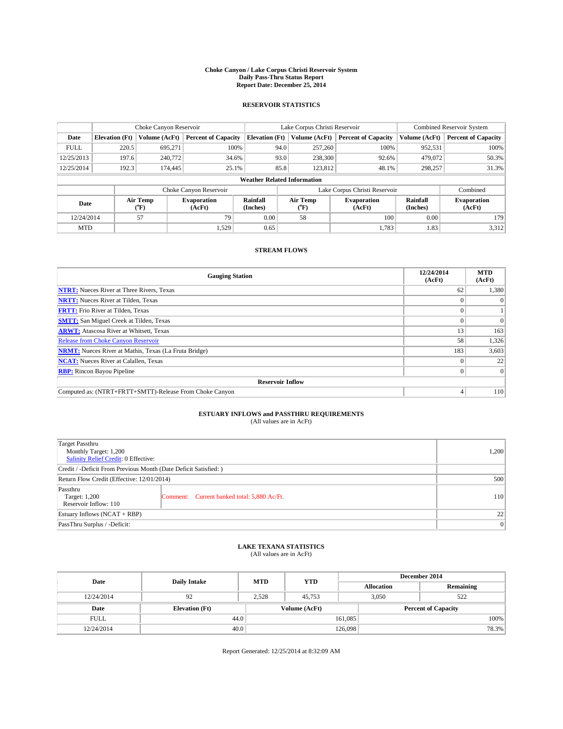#### **Choke Canyon / Lake Corpus Christi Reservoir System Daily Pass-Thru Status Report Report Date: December 25, 2014**

## **RESERVOIR STATISTICS**

|             | Choke Canyon Reservoir                                                                                      |               |                            |                       | Lake Corpus Christi Reservoir | <b>Combined Reservoir System</b> |               |                            |  |
|-------------|-------------------------------------------------------------------------------------------------------------|---------------|----------------------------|-----------------------|-------------------------------|----------------------------------|---------------|----------------------------|--|
| Date        | <b>Elevation</b> (Ft)                                                                                       | Volume (AcFt) | <b>Percent of Capacity</b> | <b>Elevation</b> (Ft) | Volume (AcFt)                 | <b>Percent of Capacity</b>       | Volume (AcFt) | <b>Percent of Capacity</b> |  |
| <b>FULL</b> | 220.5                                                                                                       | 695.271       | 100%                       | 94.0                  | 257,260                       | 100%                             | 952,531       | 100%                       |  |
| 12/25/2013  | 197.6                                                                                                       | 240,772       | 34.6%                      | 93.0                  | 238,300                       | 92.6%                            | 479,072       | 50.3%                      |  |
| 12/25/2014  | 192.3                                                                                                       | 174,445       | 25.1%                      | 85.8                  | 123,812                       | 48.1%                            | 298,257       | 31.3%                      |  |
|             | <b>Weather Related Information</b>                                                                          |               |                            |                       |                               |                                  |               |                            |  |
|             |                                                                                                             |               | Choke Canyon Reservoir     |                       |                               | Lake Corpus Christi Reservoir    |               | Combined                   |  |
|             | Air Temp<br>Air Temp<br>Rainfall<br>Evaporation<br>Date<br>$({}^o\mathrm{F})$<br>(AcFt)<br>(Inches)<br>("F) |               | Evaporation<br>(AcFt)      | Rainfall<br>(Inches)  | <b>Evaporation</b><br>(AcFt)  |                                  |               |                            |  |
| 12/24/2014  |                                                                                                             | 57            | 79                         | 0.00                  | 58                            | 100                              | 0.00          | 179                        |  |

## **STREAM FLOWS**

MTD  $|$  1,529 0.65 1,783 1.83 3,312

| <b>Gauging Station</b>                                       | 12/24/2014<br>(AcFt) | <b>MTD</b><br>(AcFt) |  |  |  |  |
|--------------------------------------------------------------|----------------------|----------------------|--|--|--|--|
| <b>NTRT:</b> Nueces River at Three Rivers, Texas             | 62                   | 1,380                |  |  |  |  |
| <b>NRTT:</b> Nueces River at Tilden, Texas                   |                      | $\Omega$             |  |  |  |  |
| <b>FRTT:</b> Frio River at Tilden, Texas                     | 0                    |                      |  |  |  |  |
| <b>SMTT:</b> San Miguel Creek at Tilden, Texas               |                      | $\Omega$             |  |  |  |  |
| <b>ARWT:</b> Atascosa River at Whitsett, Texas               | 13                   | 163                  |  |  |  |  |
| <b>Release from Choke Canyon Reservoir</b>                   | 58                   | 1,326                |  |  |  |  |
| <b>NRMT:</b> Nueces River at Mathis, Texas (La Fruta Bridge) | 183                  | 3,603                |  |  |  |  |
| <b>NCAT:</b> Nueces River at Calallen, Texas                 |                      | 22                   |  |  |  |  |
| <b>RBP:</b> Rincon Bayou Pipeline                            | $\Omega$             | $\Omega$             |  |  |  |  |
| <b>Reservoir Inflow</b>                                      |                      |                      |  |  |  |  |
| Computed as: (NTRT+FRTT+SMTT)-Release From Choke Canyon      | 4                    | 110                  |  |  |  |  |

# **ESTUARY INFLOWS and PASSTHRU REQUIREMENTS**<br>(All values are in AcFt)

| Target Passthru<br>Monthly Target: 1,200<br>Salinity Relief Credit: 0 Effective: |                                             | 1,200 |
|----------------------------------------------------------------------------------|---------------------------------------------|-------|
| Credit / -Deficit From Previous Month (Date Deficit Satisfied: )                 |                                             |       |
| Return Flow Credit (Effective: 12/01/2014)                                       | 500                                         |       |
| Passthru<br>Target: 1,200<br>Reservoir Inflow: 110                               | Comment: Current banked total: 5,880 Ac/Ft. | 110   |
| Estuary Inflows (NCAT + RBP)                                                     | 22                                          |       |
| PassThru Surplus / -Deficit:                                                     | 0                                           |       |

# **LAKE TEXANA STATISTICS** (All values are in AcFt)

| Date        | <b>Daily Intake</b>   | <b>MTD</b> | <b>YTD</b>    | December 2014     |                            |           |  |
|-------------|-----------------------|------------|---------------|-------------------|----------------------------|-----------|--|
|             |                       |            |               | <b>Allocation</b> |                            | Remaining |  |
| 12/24/2014  | 92                    | 2,528      | 45.753        | 3.050             |                            | 522       |  |
| Date        | <b>Elevation</b> (Ft) |            | Volume (AcFt) |                   | <b>Percent of Capacity</b> |           |  |
| <b>FULL</b> | 44.0                  |            |               | 161,085           |                            | 100%      |  |
| 12/24/2014  | 40.0                  |            |               | 126,098           |                            | 78.3%     |  |

Report Generated: 12/25/2014 at 8:32:09 AM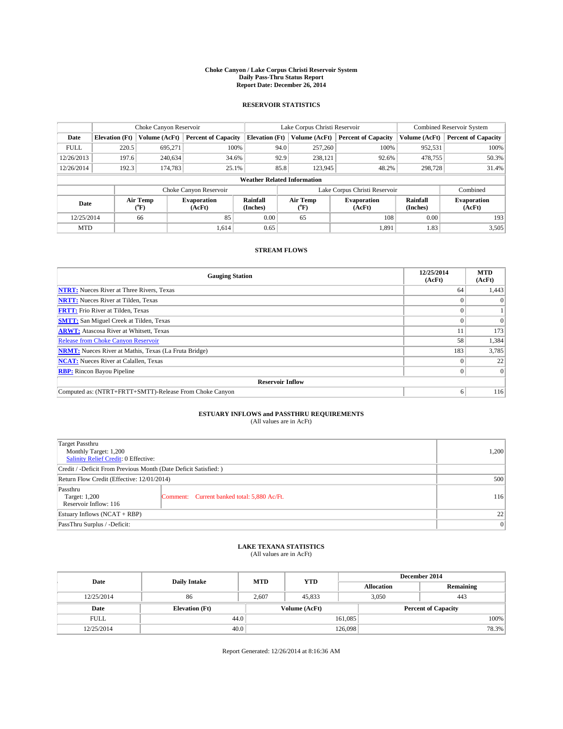#### **Choke Canyon / Lake Corpus Christi Reservoir System Daily Pass-Thru Status Report Report Date: December 26, 2014**

## **RESERVOIR STATISTICS**

|                                    | Choke Canyon Reservoir |                      |                            |                       | Lake Corpus Christi Reservoir             | <b>Combined Reservoir System</b> |                      |                              |
|------------------------------------|------------------------|----------------------|----------------------------|-----------------------|-------------------------------------------|----------------------------------|----------------------|------------------------------|
| Date                               | <b>Elevation</b> (Ft)  | <b>Volume (AcFt)</b> | <b>Percent of Capacity</b> | <b>Elevation (Ft)</b> | Volume (AcFt)                             | <b>Percent of Capacity</b>       | Volume (AcFt)        | <b>Percent of Capacity</b>   |
| <b>FULL</b>                        | 220.5                  | 695,271              | 100%                       | 94.0                  | 257,260                                   | 100%                             | 952,531              | 100%                         |
| 12/26/2013                         | 197.6                  | 240,634              | 34.6%                      | 92.9                  | 238,121                                   | 92.6%                            | 478,755              | 50.3%                        |
| 12/26/2014                         | 192.3                  | 174,783              | 25.1%                      | 85.8                  | 123,945                                   | 48.2%                            | 298,728              | 31.4%                        |
| <b>Weather Related Information</b> |                        |                      |                            |                       |                                           |                                  |                      |                              |
|                                    |                        |                      | Choke Canyon Reservoir     |                       | Lake Corpus Christi Reservoir<br>Combined |                                  |                      |                              |
| Date                               |                        | Air Temp<br>(°F)     | Evaporation<br>(AcFt)      | Rainfall<br>(Inches)  | Air Temp<br>("F)                          | <b>Evaporation</b><br>(AcFt)     | Rainfall<br>(Inches) | <b>Evaporation</b><br>(AcFt) |
| 12/25/2014                         |                        | 66                   | 85                         | 0.00                  | 65                                        | 108                              | 0.00                 | 193                          |

## **STREAM FLOWS**

MTD  $|$  1,614 0.65 1,891 1.83 3,505

| <b>Gauging Station</b>                                       | 12/25/2014<br>(AcFt) | <b>MTD</b><br>(AcFt) |  |  |  |  |
|--------------------------------------------------------------|----------------------|----------------------|--|--|--|--|
| <b>NTRT:</b> Nueces River at Three Rivers, Texas             | 64                   | 1,443                |  |  |  |  |
| <b>NRTT:</b> Nueces River at Tilden, Texas                   |                      | $\Omega$             |  |  |  |  |
| <b>FRTT:</b> Frio River at Tilden, Texas                     |                      |                      |  |  |  |  |
| <b>SMTT:</b> San Miguel Creek at Tilden, Texas               |                      | $\Omega$             |  |  |  |  |
| <b>ARWT:</b> Atascosa River at Whitsett, Texas               | 11                   | 173                  |  |  |  |  |
| <b>Release from Choke Canyon Reservoir</b>                   | 58                   | 1,384                |  |  |  |  |
| <b>NRMT:</b> Nueces River at Mathis, Texas (La Fruta Bridge) | 183                  | 3,785                |  |  |  |  |
| <b>NCAT:</b> Nueces River at Calallen, Texas                 |                      | 22                   |  |  |  |  |
| <b>RBP:</b> Rincon Bayou Pipeline                            | $\Omega$             | $\Omega$             |  |  |  |  |
| <b>Reservoir Inflow</b>                                      |                      |                      |  |  |  |  |
| Computed as: (NTRT+FRTT+SMTT)-Release From Choke Canyon      | 6                    | 116                  |  |  |  |  |

# **ESTUARY INFLOWS and PASSTHRU REQUIREMENTS**<br>(All values are in AcFt)

| Target Passthru<br>Monthly Target: 1,200<br>Salinity Relief Credit: 0 Effective: |                                             | 1,200 |
|----------------------------------------------------------------------------------|---------------------------------------------|-------|
| Credit / -Deficit From Previous Month (Date Deficit Satisfied: )                 |                                             |       |
| Return Flow Credit (Effective: 12/01/2014)                                       | 500                                         |       |
| Passthru<br>Target: 1,200<br>Reservoir Inflow: 116                               | Comment: Current banked total: 5,880 Ac/Ft. | 116   |
| Estuary Inflows (NCAT + RBP)                                                     | 22                                          |       |
| PassThru Surplus / -Deficit:                                                     | 0                                           |       |

# **LAKE TEXANA STATISTICS** (All values are in AcFt)

| Date        | <b>Daily Intake</b>   | <b>MTD</b>    | <b>YTD</b> | December 2014     |                            |  |  |
|-------------|-----------------------|---------------|------------|-------------------|----------------------------|--|--|
|             |                       |               |            | <b>Allocation</b> | Remaining                  |  |  |
| 12/25/2014  | 86                    | 2.607         | 45,833     | 3.050             | 443                        |  |  |
| Date        | <b>Elevation</b> (Ft) | Volume (AcFt) |            |                   | <b>Percent of Capacity</b> |  |  |
| <b>FULL</b> | 44.0                  |               |            | 161,085           | 100%                       |  |  |
| 12/25/2014  | 40.0                  |               |            | 126,098           | 78.3%                      |  |  |

Report Generated: 12/26/2014 at 8:16:36 AM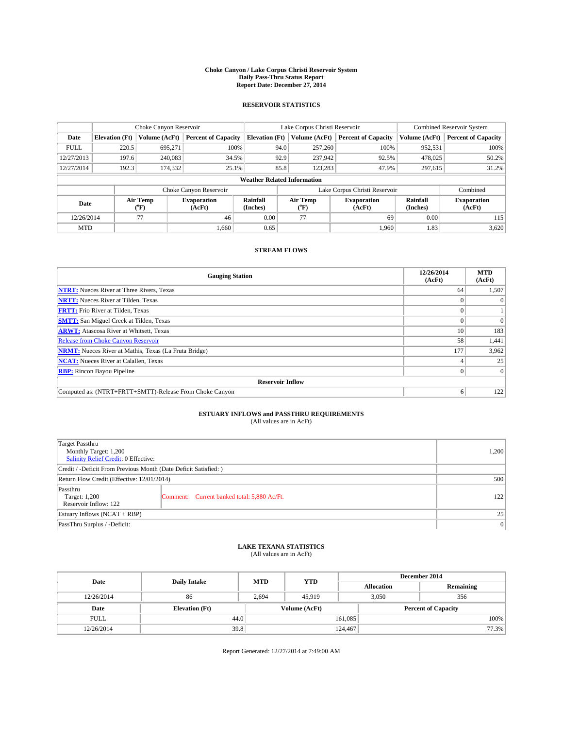#### **Choke Canyon / Lake Corpus Christi Reservoir System Daily Pass-Thru Status Report Report Date: December 27, 2014**

## **RESERVOIR STATISTICS**

|                                    | Choke Canyon Reservoir |                  |                            |                       | Lake Corpus Christi Reservoir | Combined Reservoir System     |                      |                              |
|------------------------------------|------------------------|------------------|----------------------------|-----------------------|-------------------------------|-------------------------------|----------------------|------------------------------|
| Date                               | <b>Elevation</b> (Ft)  | Volume (AcFt)    | <b>Percent of Capacity</b> | <b>Elevation</b> (Ft) | Volume (AcFt)                 | <b>Percent of Capacity</b>    | Volume (AcFt)        | <b>Percent of Capacity</b>   |
| <b>FULL</b>                        | 220.5                  | 695,271          | 100%                       | 94.0                  | 257,260                       | 100%                          | 952,531              | 100%                         |
| 12/27/2013                         | 197.6                  | 240,083          | 34.5%                      | 92.9                  | 237,942                       | 92.5%                         | 478,025              | 50.2%                        |
| 12/27/2014                         | 192.3                  | 174,332          | 25.1%                      | 85.8                  | 123,283                       | 47.9%                         | 297,615              | 31.2%                        |
| <b>Weather Related Information</b> |                        |                  |                            |                       |                               |                               |                      |                              |
|                                    |                        |                  | Choke Canyon Reservoir     |                       |                               | Lake Corpus Christi Reservoir |                      | Combined                     |
| Date                               |                        | Air Temp<br>(°F) | Evaporation<br>(AcFt)      | Rainfall<br>(Inches)  | Air Temp<br>$\rm ^{o}F$       | <b>Evaporation</b><br>(AcFt)  | Rainfall<br>(Inches) | <b>Evaporation</b><br>(AcFt) |
| 12/26/2014                         |                        | 77               | 46                         | 0.00                  | 77                            | 69                            | 0.00                 | 115                          |

## **STREAM FLOWS**

MTD  $|$  1,660 0.65 1,960 1.83 3,620

| <b>Gauging Station</b>                                       | 12/26/2014<br>(AcFt) | <b>MTD</b><br>(AcFt) |  |  |  |
|--------------------------------------------------------------|----------------------|----------------------|--|--|--|
| <b>NTRT:</b> Nueces River at Three Rivers, Texas             | 64                   | 1,507                |  |  |  |
| <b>NRTT:</b> Nueces River at Tilden, Texas                   |                      | $\Omega$             |  |  |  |
| <b>FRTT:</b> Frio River at Tilden, Texas                     |                      |                      |  |  |  |
| <b>SMTT:</b> San Miguel Creek at Tilden, Texas               |                      | $\Omega$             |  |  |  |
| <b>ARWT:</b> Atascosa River at Whitsett, Texas               | 10                   | 183                  |  |  |  |
| <b>Release from Choke Canyon Reservoir</b>                   | 58                   | 1,441                |  |  |  |
| <b>NRMT:</b> Nueces River at Mathis, Texas (La Fruta Bridge) | 177                  | 3,962                |  |  |  |
| <b>NCAT:</b> Nueces River at Calallen, Texas                 |                      | 25                   |  |  |  |
| <b>RBP:</b> Rincon Bayou Pipeline                            | $\overline{0}$       | $\theta$             |  |  |  |
| <b>Reservoir Inflow</b>                                      |                      |                      |  |  |  |
| Computed as: (NTRT+FRTT+SMTT)-Release From Choke Canyon      | 6                    | 122                  |  |  |  |

# **ESTUARY INFLOWS and PASSTHRU REQUIREMENTS**<br>(All values are in AcFt)

| Target Passthru<br>Monthly Target: 1,200<br>Salinity Relief Credit: 0 Effective: |                                             | 1,200 |
|----------------------------------------------------------------------------------|---------------------------------------------|-------|
| Credit / -Deficit From Previous Month (Date Deficit Satisfied: )                 |                                             |       |
| Return Flow Credit (Effective: 12/01/2014)                                       | 500                                         |       |
| Passthru<br>Target: 1,200<br>Reservoir Inflow: 122                               | Comment: Current banked total: 5,880 Ac/Ft. | 122   |
| Estuary Inflows (NCAT + RBP)                                                     | 25                                          |       |
| PassThru Surplus / -Deficit:                                                     | 0                                           |       |

# **LAKE TEXANA STATISTICS** (All values are in AcFt)

| Date        | <b>Daily Intake</b>   | <b>MTD</b>    | <b>YTD</b> | December 2014     |                            |           |  |
|-------------|-----------------------|---------------|------------|-------------------|----------------------------|-----------|--|
|             |                       |               |            | <b>Allocation</b> |                            | Remaining |  |
| 12/26/2014  | 86                    | 2,694         | 45.919     |                   | 3,050<br>356               |           |  |
| Date        | <b>Elevation</b> (Ft) | Volume (AcFt) |            |                   | <b>Percent of Capacity</b> |           |  |
| <b>FULL</b> | 44.0                  |               |            | 161,085           |                            | 100%      |  |
| 12/26/2014  | 39.8                  |               |            | 124,467           |                            | 77.3%     |  |

Report Generated: 12/27/2014 at 7:49:00 AM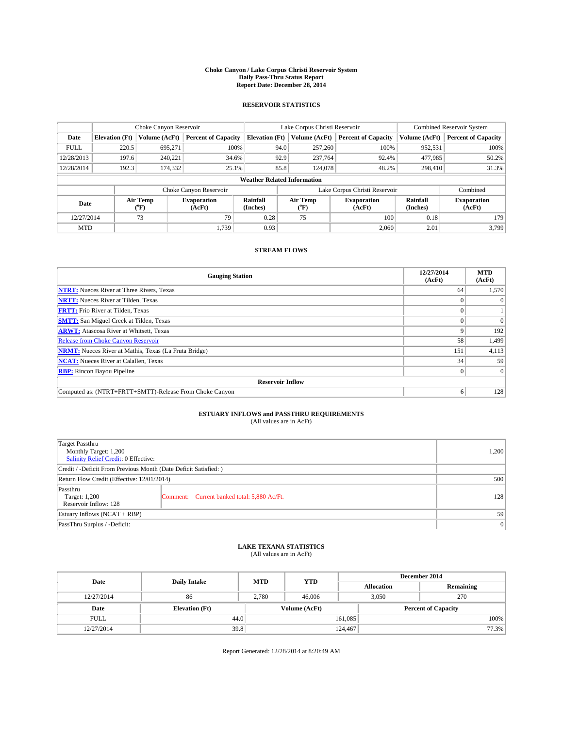#### **Choke Canyon / Lake Corpus Christi Reservoir System Daily Pass-Thru Status Report Report Date: December 28, 2014**

## **RESERVOIR STATISTICS**

|             |                                    | Choke Canyon Reservoir |                              |                       | Lake Corpus Christi Reservoir | <b>Combined Reservoir System</b> |                      |                              |  |
|-------------|------------------------------------|------------------------|------------------------------|-----------------------|-------------------------------|----------------------------------|----------------------|------------------------------|--|
| Date        | <b>Elevation</b> (Ft)              | Volume (AcFt)          | <b>Percent of Capacity</b>   | <b>Elevation</b> (Ft) | Volume (AcFt)                 | <b>Percent of Capacity</b>       | Volume (AcFt)        | <b>Percent of Capacity</b>   |  |
| <b>FULL</b> | 220.5                              | 695.271                | 100%                         | 94.0                  | 257,260                       | 100%                             | 952,531              | 100%                         |  |
| 12/28/2013  | 197.6                              | 240,221                | 34.6%                        | 92.9                  | 237,764                       | 92.4%                            | 477,985              | 50.2%                        |  |
| 12/28/2014  | 192.3                              | 174,332                | 25.1%                        | 85.8                  | 124,078                       | 48.2%                            | 298,410              | 31.3%                        |  |
|             | <b>Weather Related Information</b> |                        |                              |                       |                               |                                  |                      |                              |  |
|             |                                    |                        | Choke Canyon Reservoir       |                       | Lake Corpus Christi Reservoir | Combined                         |                      |                              |  |
| Date        |                                    | Air Temp<br>(°F)       | <b>Evaporation</b><br>(AcFt) | Rainfall<br>(Inches)  | Air Temp<br>(°F)              | <b>Evaporation</b><br>(AcFt)     | Rainfall<br>(Inches) | <b>Evaporation</b><br>(AcFt) |  |
| 12/27/2014  |                                    | 73                     | 79                           | 0.28                  | 75                            | 100                              | 0.18                 | 179                          |  |
| <b>MTD</b>  |                                    |                        | 1.739                        | 0.93                  |                               | 2,060                            | 2.01                 | 3.799                        |  |

## **STREAM FLOWS**

| <b>Gauging Station</b>                                       | 12/27/2014<br>(AcFt) | <b>MTD</b><br>(AcFt) |  |  |  |  |
|--------------------------------------------------------------|----------------------|----------------------|--|--|--|--|
| <b>NTRT:</b> Nueces River at Three Rivers, Texas             | 64                   | 1,570                |  |  |  |  |
| <b>NRTT:</b> Nueces River at Tilden, Texas                   |                      | $\Omega$             |  |  |  |  |
| <b>FRTT:</b> Frio River at Tilden, Texas                     | $\Omega$             |                      |  |  |  |  |
| <b>SMTT:</b> San Miguel Creek at Tilden, Texas               |                      | $\Omega$             |  |  |  |  |
| <b>ARWT:</b> Atascosa River at Whitsett, Texas               | Q                    | 192                  |  |  |  |  |
| <b>Release from Choke Canyon Reservoir</b>                   | 58                   | 1,499                |  |  |  |  |
| <b>NRMT:</b> Nueces River at Mathis, Texas (La Fruta Bridge) | 151                  | 4,113                |  |  |  |  |
| <b>NCAT:</b> Nueces River at Calallen, Texas                 | 34                   | 59                   |  |  |  |  |
| <b>RBP:</b> Rincon Bayou Pipeline                            | $\Omega$             | $\Omega$             |  |  |  |  |
| <b>Reservoir Inflow</b>                                      |                      |                      |  |  |  |  |
| Computed as: (NTRT+FRTT+SMTT)-Release From Choke Canyon      | 6                    | 128                  |  |  |  |  |

# **ESTUARY INFLOWS and PASSTHRU REQUIREMENTS**<br>(All values are in AcFt)

| Target Passthru<br>Monthly Target: 1,200<br>Salinity Relief Credit: 0 Effective: | 1,200                                       |     |
|----------------------------------------------------------------------------------|---------------------------------------------|-----|
| Credit / -Deficit From Previous Month (Date Deficit Satisfied: )                 |                                             |     |
| Return Flow Credit (Effective: 12/01/2014)                                       | 500                                         |     |
| Passthru<br>Target: 1,200<br>Reservoir Inflow: 128                               | Comment: Current banked total: 5,880 Ac/Ft. | 128 |
| Estuary Inflows (NCAT + RBP)                                                     | 59                                          |     |
| PassThru Surplus / -Deficit:                                                     | 0                                           |     |

# **LAKE TEXANA STATISTICS** (All values are in AcFt)

| Date        | <b>Daily Intake</b>   | <b>MTD</b> | <b>YTD</b>    | December 2014 |                            |           |  |
|-------------|-----------------------|------------|---------------|---------------|----------------------------|-----------|--|
|             |                       |            |               |               | <b>Allocation</b>          | Remaining |  |
| 12/27/2014  | 86                    | 2,780      | 46,006        |               | 3,050<br>270               |           |  |
| Date        | <b>Elevation</b> (Ft) |            | Volume (AcFt) |               | <b>Percent of Capacity</b> |           |  |
| <b>FULL</b> | 44.0                  |            |               | 161,085       |                            | 100%      |  |
| 12/27/2014  | 39.8                  |            |               | 124,467       |                            | 77.3%     |  |

Report Generated: 12/28/2014 at 8:20:49 AM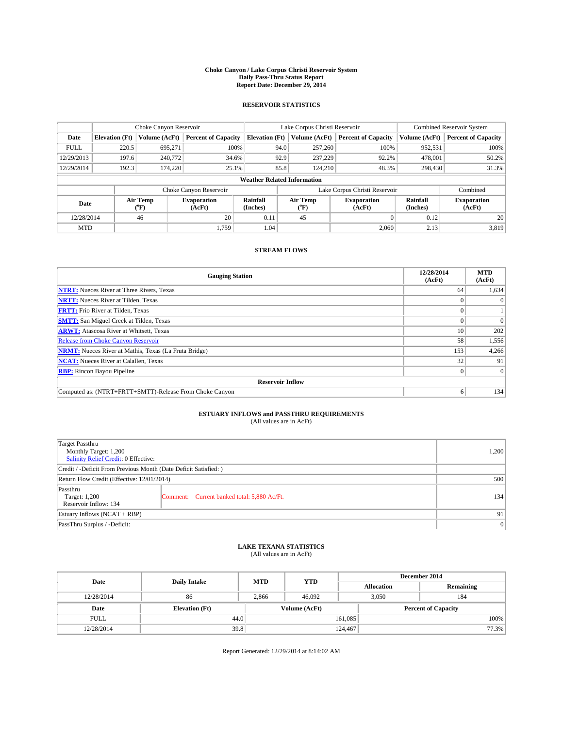#### **Choke Canyon / Lake Corpus Christi Reservoir System Daily Pass-Thru Status Report Report Date: December 29, 2014**

## **RESERVOIR STATISTICS**

|                                    | Choke Canyon Reservoir |                                    |                            |                       | Lake Corpus Christi Reservoir | <b>Combined Reservoir System</b> |                      |                              |
|------------------------------------|------------------------|------------------------------------|----------------------------|-----------------------|-------------------------------|----------------------------------|----------------------|------------------------------|
| Date                               | <b>Elevation</b> (Ft)  | Volume (AcFt)                      | <b>Percent of Capacity</b> | <b>Elevation</b> (Ft) | Volume (AcFt)                 | <b>Percent of Capacity</b>       | Volume (AcFt)        | <b>Percent of Capacity</b>   |
| <b>FULL</b>                        | 220.5                  | 695.271                            | 100%                       | 94.0                  | 257,260                       | 100%                             | 952,531              | 100%                         |
| 12/29/2013                         | 197.6                  | 240,772                            | 34.6%                      | 92.9                  | 237,229                       | 92.2%                            | 478,001              | 50.2%                        |
| 12/29/2014                         | 192.3                  | 174,220                            | 25.1%                      | 85.8                  | 124,210                       | 48.3%                            | 298,430              | 31.3%                        |
| <b>Weather Related Information</b> |                        |                                    |                            |                       |                               |                                  |                      |                              |
|                                    |                        |                                    | Choke Canyon Reservoir     |                       | Lake Corpus Christi Reservoir |                                  |                      |                              |
| Date                               |                        | Air Temp<br>${}^{\prime\prime}$ F) | Evaporation<br>(AcFt)      | Rainfall<br>(Inches)  | Air Temp<br>("F               | <b>Evaporation</b><br>(AcFt)     | Rainfall<br>(Inches) | <b>Evaporation</b><br>(AcFt) |
| 12/28/2014                         |                        | 46                                 | 20                         | 0.11                  | 45                            |                                  | 0.12                 | 20                           |

## **STREAM FLOWS**

MTD  $|$  1,759 1.04 2.060 2.13 3,819

| <b>Gauging Station</b>                                       | 12/28/2014<br>(AcFt) | <b>MTD</b><br>(AcFt) |  |  |  |  |
|--------------------------------------------------------------|----------------------|----------------------|--|--|--|--|
| <b>NTRT:</b> Nueces River at Three Rivers, Texas             | 64                   | 1,634                |  |  |  |  |
| <b>NRTT:</b> Nueces River at Tilden, Texas                   |                      | $\Omega$             |  |  |  |  |
| <b>FRTT:</b> Frio River at Tilden, Texas                     |                      |                      |  |  |  |  |
| <b>SMTT:</b> San Miguel Creek at Tilden, Texas               |                      | $\Omega$             |  |  |  |  |
| <b>ARWT:</b> Atascosa River at Whitsett, Texas               | 10                   | 202                  |  |  |  |  |
| <b>Release from Choke Canyon Reservoir</b>                   | 58                   | 1,556                |  |  |  |  |
| <b>NRMT:</b> Nueces River at Mathis, Texas (La Fruta Bridge) | 153                  | 4,266                |  |  |  |  |
| <b>NCAT:</b> Nueces River at Calallen, Texas                 | 32                   | 91                   |  |  |  |  |
| <b>RBP:</b> Rincon Bayou Pipeline                            | $\Omega$             | $\Omega$             |  |  |  |  |
| <b>Reservoir Inflow</b>                                      |                      |                      |  |  |  |  |
| Computed as: (NTRT+FRTT+SMTT)-Release From Choke Canyon      | 6                    | 134                  |  |  |  |  |

# **ESTUARY INFLOWS and PASSTHRU REQUIREMENTS**<br>(All values are in AcFt)

| Target Passthru<br>Monthly Target: 1,200<br>Salinity Relief Credit: 0 Effective: | 1.200                                       |     |  |  |
|----------------------------------------------------------------------------------|---------------------------------------------|-----|--|--|
| Credit / -Deficit From Previous Month (Date Deficit Satisfied: )                 |                                             |     |  |  |
| Return Flow Credit (Effective: 12/01/2014)                                       | 500                                         |     |  |  |
| Passthru<br>Target: 1,200<br>Reservoir Inflow: 134                               | Comment: Current banked total: 5,880 Ac/Ft. | 134 |  |  |
| Estuary Inflows (NCAT + RBP)                                                     |                                             |     |  |  |
| PassThru Surplus / -Deficit:                                                     | 0                                           |     |  |  |

## **LAKE TEXANA STATISTICS** (All values are in AcFt)

| Date        | <b>Daily Intake</b>   | <b>MTD</b> | <b>YTD</b>    | December 2014 |                            |           |  |
|-------------|-----------------------|------------|---------------|---------------|----------------------------|-----------|--|
|             |                       |            |               |               | <b>Allocation</b>          | Remaining |  |
| 12/28/2014  | 86                    | 2,866      | 46,092        |               | 3,050<br>184               |           |  |
| Date        | <b>Elevation</b> (Ft) |            | Volume (AcFt) |               | <b>Percent of Capacity</b> |           |  |
| <b>FULL</b> | 44.0                  |            |               | 161,085       |                            | 100%      |  |
| 12/28/2014  | 39.8                  |            |               | 124,467       |                            | 77.3%     |  |

Report Generated: 12/29/2014 at 8:14:02 AM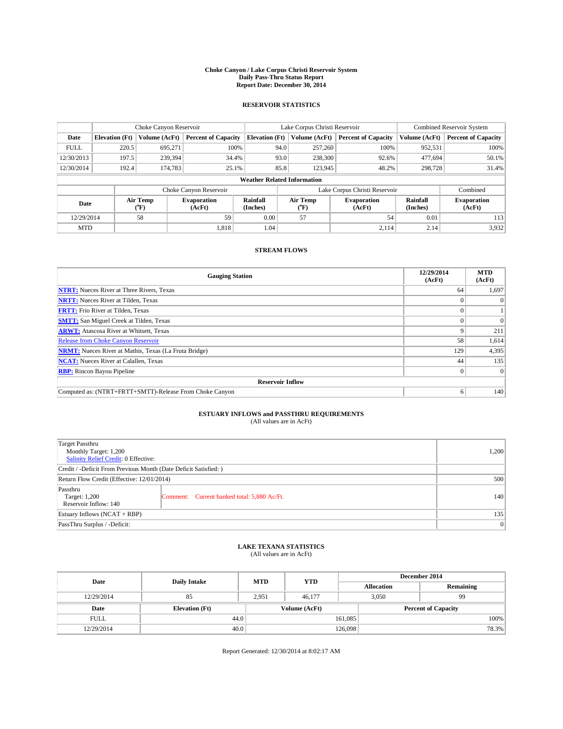#### **Choke Canyon / Lake Corpus Christi Reservoir System Daily Pass-Thru Status Report Report Date: December 30, 2014**

## **RESERVOIR STATISTICS**

|                                    |                       | Choke Canyon Reservoir |                            |                       | Lake Corpus Christi Reservoir                                    | Combined Reservoir System     |                      |                              |
|------------------------------------|-----------------------|------------------------|----------------------------|-----------------------|------------------------------------------------------------------|-------------------------------|----------------------|------------------------------|
| Date                               | <b>Elevation</b> (Ft) | Volume (AcFt)          | <b>Percent of Capacity</b> | <b>Elevation</b> (Ft) | Volume (AcFt)                                                    | <b>Percent of Capacity</b>    | Volume (AcFt)        | <b>Percent of Capacity</b>   |
| <b>FULL</b>                        | 220.5                 | 695,271                | 100%                       | 94.0                  | 257,260                                                          | 100%                          | 952,531              | 100%                         |
| 12/30/2013                         | 197.5                 | 239,394                | 34.4%                      | 93.0                  | 238,300                                                          | 92.6%                         | 477,694              | 50.1%                        |
| 12/30/2014                         | 192.4                 | 174.783                | 25.1%                      | 85.8                  | 123,945                                                          | 48.2%                         | 298,728              | 31.4%                        |
| <b>Weather Related Information</b> |                       |                        |                            |                       |                                                                  |                               |                      |                              |
|                                    |                       |                        | Choke Canyon Reservoir     |                       |                                                                  | Lake Corpus Christi Reservoir |                      | Combined                     |
| Date                               |                       | Air Temp<br>(°F)       | Evaporation<br>(AcFt)      | Rainfall<br>(Inches)  | Air Temp<br><b>Evaporation</b><br>(AcFt)<br>$^{\prime\prime}$ F, |                               | Rainfall<br>(Inches) | <b>Evaporation</b><br>(AcFt) |
| 12/29/2014                         |                       | 58                     | 59                         | 0.00                  | 57                                                               | 54                            | 0.01                 | 113                          |

## **STREAM FLOWS**

MTD  $|$  1,818  $|$  1.04  $|$  2,114  $|$  2.14  $|$  3,932

| <b>Gauging Station</b>                                       | 12/29/2014<br>(AcFt) | <b>MTD</b><br>(AcFt) |  |  |  |  |
|--------------------------------------------------------------|----------------------|----------------------|--|--|--|--|
| <b>NTRT:</b> Nueces River at Three Rivers, Texas             | 64                   | 1,697                |  |  |  |  |
| <b>NRTT:</b> Nueces River at Tilden, Texas                   | o                    | 0                    |  |  |  |  |
| <b>FRTT:</b> Frio River at Tilden, Texas                     | 0                    |                      |  |  |  |  |
| <b>SMTT:</b> San Miguel Creek at Tilden, Texas               | $\Omega$             | $\Omega$             |  |  |  |  |
| <b>ARWT:</b> Atascosa River at Whitsett, Texas               |                      | 211                  |  |  |  |  |
| <b>Release from Choke Canyon Reservoir</b>                   | 58                   | 1,614                |  |  |  |  |
| <b>NRMT:</b> Nueces River at Mathis, Texas (La Fruta Bridge) | 129                  | 4,395                |  |  |  |  |
| <b>NCAT:</b> Nueces River at Calallen, Texas                 | 44                   | 135                  |  |  |  |  |
| <b>RBP:</b> Rincon Bayou Pipeline                            | $\overline{0}$       | $\Omega$             |  |  |  |  |
| <b>Reservoir Inflow</b>                                      |                      |                      |  |  |  |  |
| Computed as: (NTRT+FRTT+SMTT)-Release From Choke Canyon      | 6                    | 140 <sup>1</sup>     |  |  |  |  |

# **ESTUARY INFLOWS and PASSTHRU REQUIREMENTS**<br>(All values are in AcFt)

| Target Passthru<br>Monthly Target: 1,200<br>Salinity Relief Credit: 0 Effective: | 1,200                                       |     |
|----------------------------------------------------------------------------------|---------------------------------------------|-----|
| Credit / -Deficit From Previous Month (Date Deficit Satisfied: )                 |                                             |     |
| Return Flow Credit (Effective: 12/01/2014)                                       | 500                                         |     |
| Passthru<br>Target: 1,200<br>Reservoir Inflow: 140                               | Comment: Current banked total: 5,880 Ac/Ft. | 140 |
| Estuary Inflows (NCAT + RBP)                                                     | 135                                         |     |
| PassThru Surplus / -Deficit:                                                     | 0                                           |     |

# **LAKE TEXANA STATISTICS** (All values are in AcFt)

| Date        |                       | <b>MTD</b> | <b>YTD</b>    | December 2014     |                            |           |  |
|-------------|-----------------------|------------|---------------|-------------------|----------------------------|-----------|--|
|             | <b>Daily Intake</b>   |            |               | <b>Allocation</b> |                            | Remaining |  |
| 12/29/2014  | 85                    | 2.951      | 46,177        | 3.050             |                            | 99        |  |
| Date        | <b>Elevation</b> (Ft) |            | Volume (AcFt) |                   | <b>Percent of Capacity</b> |           |  |
| <b>FULL</b> | 44.0                  |            |               | 161,085           |                            | 100%      |  |
| 12/29/2014  | 40.0                  |            |               | 126,098           |                            | 78.3%     |  |

Report Generated: 12/30/2014 at 8:02:17 AM